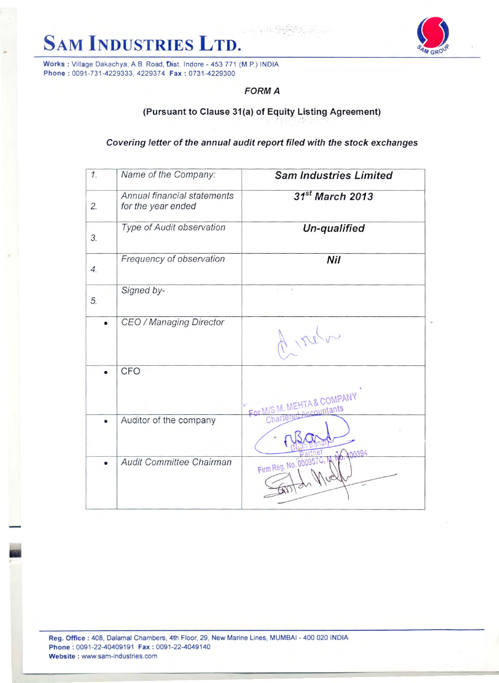



## **FORM A**

## (Pursuant to Clause 31(a) of Equity Listing Agreement)

Covering letter of the annual audit report filed with the stock exchanges

| 1.               | Name of the Company:                              | <b>Sam Industries Limited</b>   |
|------------------|---------------------------------------------------|---------------------------------|
| 2.               | Annual financial statements<br>for the year ended | $31^{st}$ March 2013            |
| 3.               | Type of Audit observation                         | Un-qualified                    |
| $\overline{4}$ . | Frequency of observation                          | Nil                             |
| 5.               | Signed by-                                        | x                               |
|                  | CEO / Managing Director                           |                                 |
|                  | CFO                                               | For MIS M. MEHTA & COMPANY      |
|                  | Auditor of the company                            |                                 |
|                  | Audit Committee Chairman                          | 00394<br>Firm Reg. No. 000957C. |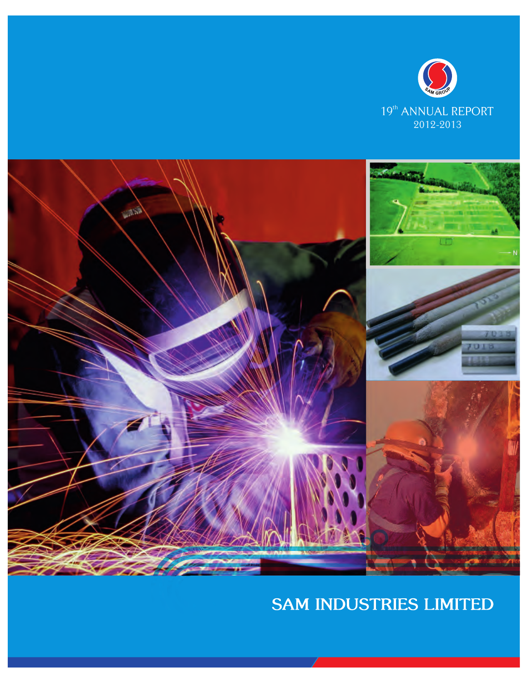

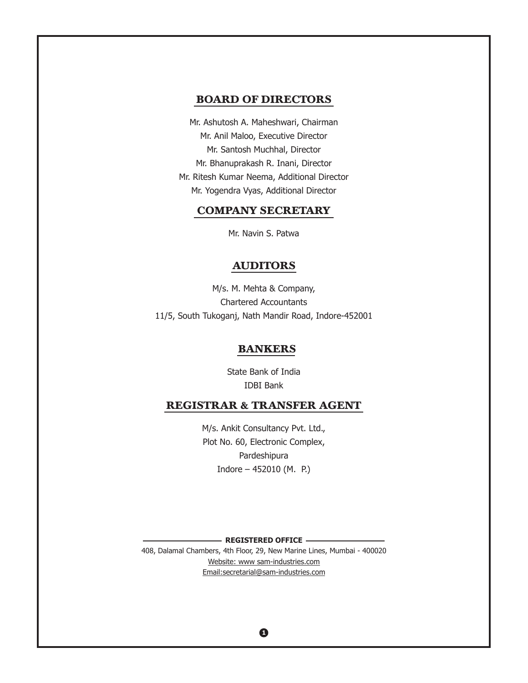## **BOARD OF DIRECTORS**

Mr. Ashutosh A. Maheshwari, Chairman Mr. Anil Maloo, Executive Director Mr. Santosh Muchhal, Director Mr. Bhanuprakash R. Inani, Director Mr. Ritesh Kumar Neema, Additional Director Mr. Yogendra Vyas, Additional Director

## **COMPANY SECRETARY**

Mr. Navin S. Patwa

#### **AUDITORS**

M/s. M. Mehta & Company, Chartered Accountants 11/5, South Tukoganj, Nath Mandir Road, Indore-452001

#### **BANKERS**

State Bank of India IDBI Bank

## **REGISTRAR & TRANSFER AGENT**

M/s. Ankit Consultancy Pvt. Ltd., Plot No. 60, Electronic Complex, Pardeshipura Indore – 452010 (M. P.)

**REGISTERED OFFICE**

408, Dalamal Chambers, 4th Floor, 29, New Marine Lines, Mumbai - 400020 Website: www sam-industries.com Email: secretarial@sam-industries.com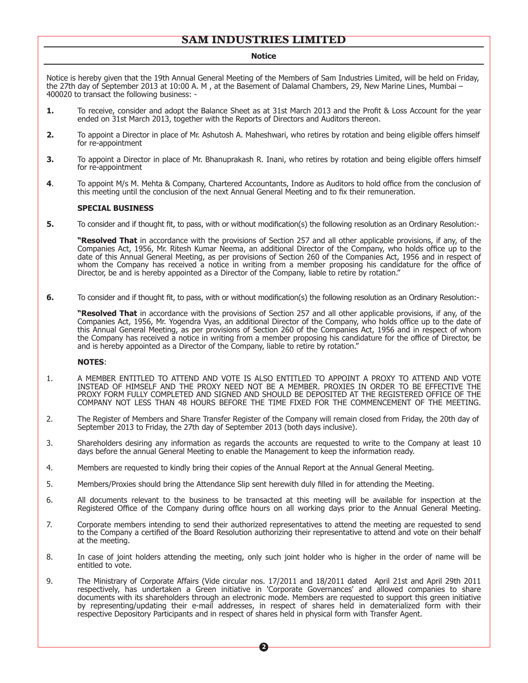#### **Notice**

Notice is hereby given that the 19th Annual General Meeting of the Members of Sam Industries Limited, will be held on Friday, the 27th day of September 2013 at 10:00 A. M , at the Basement of Dalamal Chambers, 29, New Marine Lines, Mumbai – 400020 to transact the following business: -

- **1.** To receive, consider and adopt the Balance Sheet as at 31st March 2013 and the Profit & Loss Account for the year ended on 31st March 2013, together with the Reports of Directors and Auditors thereon.
- **2.** To appoint a Director in place of Mr. Ashutosh A. Maheshwari, who retires by rotation and being eligible offers himself for re-appointment
- **3.** To appoint a Director in place of Mr. Bhanuprakash R. Inani, who retires by rotation and being eligible offers himself for re-appointment
- **4**. To appoint M/s M. Mehta & Company, Chartered Accountants, Indore as Auditors to hold office from the conclusion of this meeting until the conclusion of the next Annual General Meeting and to fix their remuneration.

#### **SPECIAL BUSINESS**

**5.** To consider and if thought fit, to pass, with or without modification(s) the following resolution as an Ordinary Resolution:-

**"Resolved That** in accordance with the provisions of Section 257 and all other applicable provisions, if any, of the Companies Act, 1956, Mr. Ritesh Kumar Neema, an additional Director of the Company, who holds office up to the date of this Annual General Meeting, as per provisions of Section 260 of the Companies Act, 1956 and in respect of whom the Company has received a notice in writing from a member proposing his candidature for the office of Director, be and is hereby appointed as a Director of the Company, liable to retire by rotation."

**6.** To consider and if thought fit, to pass, with or without modification(s) the following resolution as an Ordinary Resolution:-

**"Resolved That** in accordance with the provisions of Section 257 and all other applicable provisions, if any, of the Companies Act, 1956, Mr. Yogendra Vyas, an additional Director of the Company, who holds office up to the date of this Annual General Meeting, as per provisions of Section 260 of the Companies Act, 1956 and in respect of whom the Company has received a notice in writing from a member proposing his candidature for the office of Director, be and is hereby appointed as a Director of the Company, liable to retire by rotation."

#### **NOTES**:

- 1. A MEMBER ENTITLED TO ATTEND AND VOTE IS ALSO ENTITLED TO APPOINT A PROXY TO ATTEND AND VOTE INSTEAD OF HIMSELF AND THE PROXY NEED NOT BE A MEMBER. PROXIES IN ORDER TO BE EFFECTIVE THE PROXY FORM FULLY COMPLETED AND SIGNED AND SHOULD BE DEPOSITED AT THE REGISTERED OFFICE OF THE COMPANY NOT LESS THAN 48 HOURS BEFORE THE TIME FIXED FOR THE COMMENCEMENT OF THE MEETING.
- 2. The Register of Members and Share Transfer Register of the Company will remain closed from Friday, the 20th day of September 2013 to Friday, the 27th day of September 2013 (both days inclusive).
- 3. Shareholders desiring any information as regards the accounts are requested to write to the Company at least 10 days before the annual General Meeting to enable the Management to keep the information ready.
- 4. Members are requested to kindly bring their copies of the Annual Report at the Annual General Meeting.
- 5. Members/Proxies should bring the Attendance Slip sent herewith duly filled in for attending the Meeting.
- 6. All documents relevant to the business to be transacted at this meeting will be available for inspection at the Registered Office of the Company during office hours on all working days prior to the Annual General Meeting.
- 7. Corporate members intending to send their authorized representatives to attend the meeting are requested to send to the Company a certified of the Board Resolution authorizing their representative to attend and vote on their behalf at the meeting.
- 8. In case of joint holders attending the meeting, only such joint holder who is higher in the order of name will be entitled to vote.
- 9. The Ministrary of Corporate Affairs (Vide circular nos. 17/2011 and 18/2011 dated April 21st and April 29th 2011 respectively, has undertaken a Green initiative in 'Corporate Governances' and allowed companies to share documents with its shareholders through an electronic mode. Members are requested to support this green initiative by representing/updating their e-mail addresses, in respect of shares held in dematerialized form with their respective Depository Participants and in respect of shares held in physical form with Transfer Agent.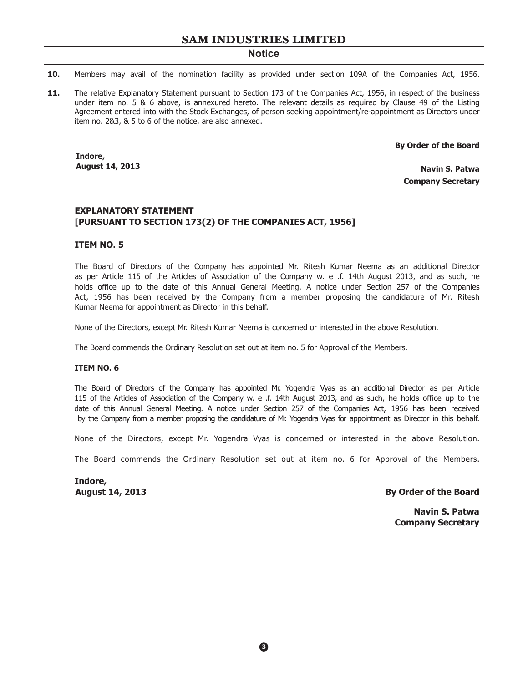#### **Notice**

- **10.** Members may avail of the nomination facility as provided under section 109A of the Companies Act, 1956.
- **11.** The relative Explanatory Statement pursuant to Section 173 of the Companies Act, 1956, in respect of the business under item no. 5 & 6 above, is annexured hereto. The relevant details as required by Clause 49 of the Listing Agreement entered into with the Stock Exchanges, of person seeking appointment/re-appointment as Directors under item no. 2&3, & 5 to 6 of the notice, are also annexed.

 **By Order of the Board**

**Indore, August 14, 2013**

**Navin S. Patwa Company Secretary**

#### **EXPLANATORY STATEMENT [PURSUANT TO SECTION 173(2) OF THE COMPANIES ACT, 1956]**

#### **ITEM NO. 5**

The Board of Directors of the Company has appointed Mr. Ritesh Kumar Neema as an additional Director as per Article 115 of the Articles of Association of the Company w. e .f. 14th August 2013, and as such, he holds office up to the date of this Annual General Meeting. A notice under Section 257 of the Companies Act, 1956 has been received by the Company from a member proposing the candidature of Mr. Ritesh Kumar Neema for appointment as Director in this behalf.

None of the Directors, except Mr. Ritesh Kumar Neema is concerned or interested in the above Resolution.

The Board commends the Ordinary Resolution set out at item no. 5 for Approval of the Members.

#### **ITEM NO. 6**

The Board of Directors of the Company has appointed Mr. Yogendra Vyas as an additional Director as per Article 115 of the Articles of Association of the Company w. e .f. 14th August 2013, and as such, he holds office up to the date of this Annual General Meeting. A notice under Section 257 of the Companies Act, 1956 has been received by the Company from a member proposing the candidature of Mr. Yogendra Vyas for appointment as Director in this behalf.

None of the Directors, except Mr. Yogendra Vyas is concerned or interested in the above Resolution.

The Board commends the Ordinary Resolution set out at item no. 6 for Approval of the Members.

**Indore,**

**August 14, 2013 By Order of the Board** 

**Navin S. Patwa Company Secretary**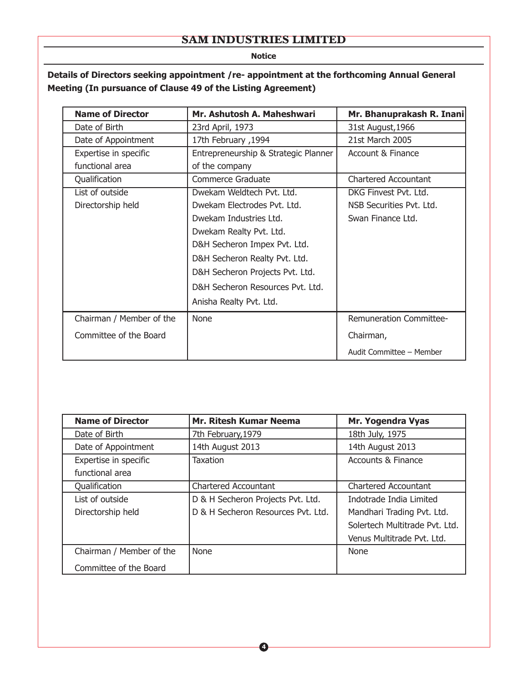**Notice**

## **Details of Directors seeking appointment /re- appointment at the forthcoming Annual General Meeting (In pursuance of Clause 49 of the Listing Agreement)**

| <b>Name of Director</b>  | Mr. Ashutosh A. Maheshwari           | Mr. Bhanuprakash R. Inani      |
|--------------------------|--------------------------------------|--------------------------------|
| Date of Birth            | 23rd April, 1973                     | 31st August, 1966              |
| Date of Appointment      | 1994, 17th February                  | 21st March 2005                |
| Expertise in specific    | Entrepreneurship & Strategic Planner | Account & Finance              |
| functional area          | of the company                       |                                |
| Qualification            | Commerce Graduate                    | <b>Chartered Accountant</b>    |
| List of outside          | Dwekam Weldtech Pvt. Ltd.            | DKG Finvest Pvt. Ltd.          |
| Directorship held        | Dwekam Electrodes Pvt. Ltd.          | NSB Securities Pvt. Ltd.       |
|                          | Dwekam Industries Ltd.               | Swan Finance Ltd.              |
|                          | Dwekam Realty Pvt. Ltd.              |                                |
|                          | D&H Secheron Impex Pvt. Ltd.         |                                |
|                          | D&H Secheron Realty Pvt. Ltd.        |                                |
|                          | D&H Secheron Projects Pvt. Ltd.      |                                |
|                          | D&H Secheron Resources Pyt. Ltd.     |                                |
|                          | Anisha Realty Pvt. Ltd.              |                                |
| Chairman / Member of the | None                                 | <b>Remuneration Committee-</b> |
| Committee of the Board   |                                      | Chairman,                      |
|                          |                                      | Audit Committee - Member       |

| <b>Name of Director</b>  | <b>Mr. Ritesh Kumar Neema</b>      | Mr. Yogendra Vyas              |
|--------------------------|------------------------------------|--------------------------------|
| Date of Birth            | 7th February, 1979                 | 18th July, 1975                |
| Date of Appointment      | 14th August 2013                   | 14th August 2013               |
| Expertise in specific    | Taxation                           | <b>Accounts &amp; Finance</b>  |
| functional area          |                                    |                                |
| Qualification            | <b>Chartered Accountant</b>        | Chartered Accountant           |
| List of outside          | D & H Secheron Projects Pvt. Ltd.  | Indotrade India Limited        |
| Directorship held        | D & H Secheron Resources Pvt. Ltd. | Mandhari Trading Pvt. Ltd.     |
|                          |                                    | Solertech Multitrade Pvt. Ltd. |
|                          |                                    | Venus Multitrade Pvt. Ltd.     |
| Chairman / Member of the | None                               | None                           |
| Committee of the Board   |                                    |                                |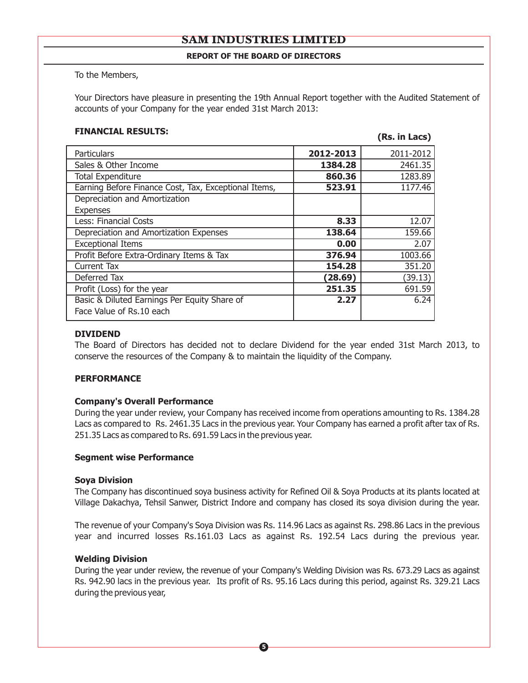#### **REPORT OF THE BOARD OF DIRECTORS**

To the Members,

Your Directors have pleasure in presenting the 19th Annual Report together with the Audited Statement of accounts of your Company for the year ended 31st March 2013:

# **FINANCIAL RESULTS: (Rs. in Lacs)**

| Particulars                                          | 2012-2013 | 2011-2012 |
|------------------------------------------------------|-----------|-----------|
| Sales & Other Income                                 | 1384.28   | 2461.35   |
| <b>Total Expenditure</b>                             | 860.36    | 1283.89   |
| Earning Before Finance Cost, Tax, Exceptional Items, | 523.91    | 1177.46   |
| Depreciation and Amortization                        |           |           |
| <b>Expenses</b>                                      |           |           |
| Less: Financial Costs                                | 8.33      | 12.07     |
| Depreciation and Amortization Expenses               | 138.64    | 159.66    |
| <b>Exceptional Items</b>                             | 0.00      | 2.07      |
| Profit Before Extra-Ordinary Items & Tax             | 376.94    | 1003.66   |
| <b>Current Tax</b>                                   | 154.28    | 351.20    |
| Deferred Tax                                         | (28.69)   | (39.13)   |
| Profit (Loss) for the year                           | 251.35    | 691.59    |
| Basic & Diluted Earnings Per Equity Share of         | 2.27      | 6.24      |
| Face Value of Rs.10 each                             |           |           |

#### **DIVIDEND**

The Board of Directors has decided not to declare Dividend for the year ended 31st March 2013, to conserve the resources of the Company & to maintain the liquidity of the Company.

#### **PERFORMANCE**

#### **Company's Overall Performance**

During the year under review, your Company has received income from operations amounting to Rs. 1384.28 Lacs as compared to Rs. 2461.35 Lacs in the previous year. Your Company has earned a profit after tax of Rs. 251.35 Lacs as compared to Rs. 691.59 Lacs in the previous year.

#### **Segment wise Performance**

#### **Soya Division**

The Company has discontinued soya business activity for Refined Oil & Soya Products at its plants located at Village Dakachya, Tehsil Sanwer, District Indore and company has closed its soya division during the year.

The revenue of your Company's Soya Division was Rs. 114.96 Lacs as against Rs. 298.86 Lacs in the previous year and incurred losses Rs.161.03 Lacs as against Rs. 192.54 Lacs during the previous year.

#### **Welding Division**

During the year under review, the revenue of your Company's Welding Division was Rs. 673.29 Lacs as against Rs. 942.90 lacs in the previous year. Its profit of Rs. 95.16 Lacs during this period, against Rs. 329.21 Lacs during the previous year,

**5**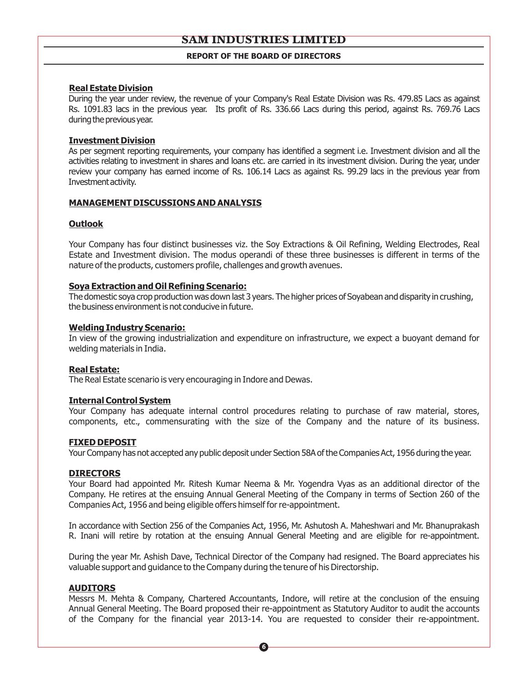#### **REPORT OF THE BOARD OF DIRECTORS**

#### **Real Estate Division**

During the year under review, the revenue of your Company's Real Estate Division was Rs. 479.85 Lacs as against Rs. 1091.83 lacs in the previous year. Its profit of Rs. 336.66 Lacs during this period, against Rs. 769.76 Lacs during the previous year.

#### **Investment Division**

As per segment reporting requirements, your company has identified a segment i.e. Investment division and all the activities relating to investment in shares and loans etc. are carried in its investment division. During the year, under review your company has earned income of Rs. 106.14 Lacs as against Rs. 99.29 lacs in the previous year from Investmentactivity.

#### **MANAGEMENT DISCUSSIONS AND ANALYSIS**

#### **Outlook**

Your Company has four distinct businesses viz. the Soy Extractions & Oil Refining, Welding Electrodes, Real Estate and Investment division. The modus operandi of these three businesses is different in terms of the nature of the products, customers profile, challenges and growth avenues.

#### **Soya Extraction and Oil Refining Scenario:**

The domestic soya crop production was down last 3 years. The higher prices of Soyabean and disparity in crushing, the business environment is not conducive in future.

#### **Welding Industry Scenario:**

In view of the growing industrialization and expenditure on infrastructure, we expect a buoyant demand for welding materials in India.

#### **Real Estate:**

The Real Estate scenario is very encouraging in Indore and Dewas.

#### **Internal Control System**

Your Company has adequate internal control procedures relating to purchase of raw material, stores, components, etc., commensurating with the size of the Company and the nature of its business.

#### **FIXED DEPOSIT**

Your Company has not accepted any public deposit under Section 58A ofthe Companies Act, 1956 during the year.

#### **DIRECTORS**

Your Board had appointed Mr. Ritesh Kumar Neema & Mr. Yogendra Vyas as an additional director of the Company. He retires at the ensuing Annual General Meeting of the Company in terms of Section 260 of the Companies Act, 1956 and being eligible offers himself for re-appointment.

In accordance with Section 256 of the Companies Act, 1956, Mr. Ashutosh A. Maheshwari and Mr. Bhanuprakash R. Inani will retire by rotation at the ensuing Annual General Meeting and are eligible for re-appointment.

 During the year Mr. Ashish Dave, Technical Director of the Company had resigned. The Board appreciates his valuable support and guidance to the Company during the tenure of his Directorship.

#### **AUDITORS**

Messrs M. Mehta & Company, Chartered Accountants, Indore, will retire at the conclusion of the ensuing Annual General Meeting. The Board proposed their re-appointment as Statutory Auditor to audit the accounts of the Company for the financial year 2013-14. You are requested to consider their re-appointment.

**6**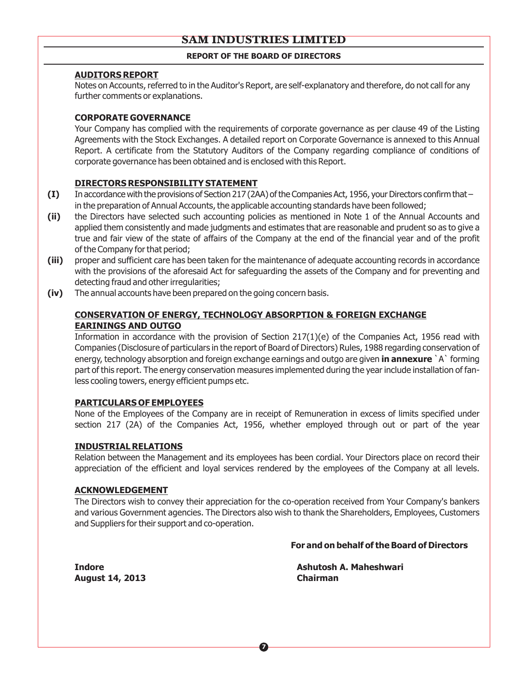## **REPORT OF THE BOARD OF DIRECTORS**

#### **AUDITORS REPORT**

Notes on Accounts, referred to in the Auditor's Report, are self-explanatory and therefore, do not call for any further comments or explanations.

### **CORPORATE GOVERNANCE**

Your Company has complied with the requirements of corporate governance as per clause 49 of the Listing Agreements with the Stock Exchanges. A detailed report on Corporate Governance is annexed to this Annual Report. A certificate from the Statutory Auditors of the Company regarding compliance of conditions of corporate governance has been obtained and is enclosed with this Report.

## **DIRECTORS RESPONSIBILITY STATEMENT**

- **(I)** In accordance with the provisions of Section 217 (2AA) of the Companies Act, 1956, your Directors confirm that in the preparation of Annual Accounts, the applicable accounting standards have been followed;
- **(ii)** the Directors have selected such accounting policies as mentioned in Note 1 of the Annual Accounts and applied them consistently and made judgments and estimates that are reasonable and prudent so as to give a true and fair view of the state of affairs of the Company at the end of the financial year and of the profit of the Company for that period;
- **(iii)** proper and sufficient care has been taken for the maintenance of adequate accounting records in accordance with the provisions of the aforesaid Act for safeguarding the assets of the Company and for preventing and detecting fraud and other irregularities;
- **(iv)** The annual accounts have been prepared on the going concern basis.

### **CONSERVATION OF ENERGY, TECHNOLOGY ABSORPTION & FOREIGN EXCHANGE EARININGS AND OUTGO**

Information in accordance with the provision of Section 217(1)(e) of the Companies Act, 1956 read with Companies (Disclosure of particulars in the report of Board of Directors) Rules, 1988 regarding conservation of energy, technology absorption and foreign exchange earnings and outgo are given **in annexure** `A` forming part of this report. The energy conservation measures implemented during the year include installation of fanless cooling towers, energy efficient pumps etc.

#### **PARTICULARS OF EMPLOYEES**

None of the Employees of the Company are in receipt of Remuneration in excess of limits specified under section 217 (2A) of the Companies Act, 1956, whether employed through out or part of the year

#### **INDUSTRIAL RELATIONS**

Relation between the Management and its employees has been cordial. Your Directors place on record their appreciation of the efficient and loyal services rendered by the employees of the Company at all levels.

#### **ACKNOWLEDGEMENT**

The Directors wish to convey their appreciation for the co-operation received from Your Company's bankers and various Government agencies. The Directors also wish to thank the Shareholders, Employees, Customers and Suppliers for their support and co-operation.

 **For and on behalf of the Board of Directors**

**August 14, 2013 Chairman**

**Indore Ashutosh A. Maheshwari**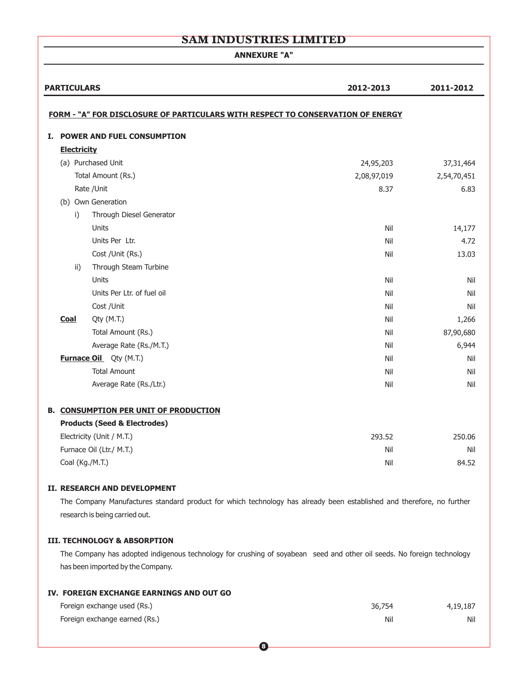**ANNEXURE "A"**

|    | <b>PARTICULARS</b> |                                                                                 | 2012-2013   | 2011-2012   |
|----|--------------------|---------------------------------------------------------------------------------|-------------|-------------|
|    |                    |                                                                                 |             |             |
|    |                    | FORM - "A" FOR DISCLOSURE OF PARTICULARS WITH RESPECT TO CONSERVATION OF ENERGY |             |             |
| I. |                    | <b>POWER AND FUEL CONSUMPTION</b>                                               |             |             |
|    | <b>Electricity</b> |                                                                                 |             |             |
|    |                    | (a) Purchased Unit                                                              | 24,95,203   | 37, 31, 464 |
|    |                    | Total Amount (Rs.)                                                              | 2,08,97,019 | 2,54,70,451 |
|    |                    | Rate / Unit                                                                     | 8.37        | 6.83        |
|    |                    | (b) Own Generation                                                              |             |             |
|    | i)                 | Through Diesel Generator                                                        |             |             |
|    |                    | Units                                                                           | Nil         | 14,177      |
|    |                    | Units Per Ltr.                                                                  | Nil         | 4.72        |
|    |                    | Cost /Unit (Rs.)                                                                | Nil         | 13.03       |
|    | ii)                | Through Steam Turbine                                                           |             |             |
|    |                    | Units                                                                           | Nil         | Nil         |
|    |                    | Units Per Ltr. of fuel oil                                                      | Nil         | Nil         |
|    |                    | Cost /Unit                                                                      | Nil         | Nil         |
|    | <b>Coal</b>        | Qty (M.T.)                                                                      | Nil         | 1,266       |
|    |                    | Total Amount (Rs.)                                                              | Nil         | 87,90,680   |
|    |                    | Average Rate (Rs./M.T.)                                                         | Nil         | 6,944       |
|    |                    | <b>Furnace Oil</b> Qty (M.T.)                                                   | Nil         | Nil         |
|    |                    | <b>Total Amount</b>                                                             | Nil         | Nil         |
|    |                    | Average Rate (Rs./Ltr.)                                                         | Nil         | Nil         |
|    |                    | <b>B. CONSUMPTION PER UNIT OF PRODUCTION</b>                                    |             |             |
|    |                    | <b>Products (Seed &amp; Electrodes)</b>                                         |             |             |
|    |                    | Electricity (Unit / M.T.)                                                       | 293.52      | 250.06      |
|    |                    | Furnace Oil (Ltr./ M.T.)                                                        | Nil         | Nil         |
|    | Coal (Kg./M.T.)    |                                                                                 | Nil         | 84.52       |
|    |                    |                                                                                 |             |             |

#### **II. RESEARCH AND DEVELOPMENT**

The Company Manufactures standard product for which technology has already been established and therefore, no further research is being carried out.

#### **III. TECHNOLOGY & ABSORPTION**

The Company has adopted indigenous technology for crushing of soyabean seed and other oil seeds. No foreign technology has been imported by the Company.

#### **IV. FOREIGN EXCHANGE EARNINGS AND OUT GO**

| Foreign exchange used (Rs.)   | 36,754 | 4,19,187 |
|-------------------------------|--------|----------|
| Foreign exchange earned (Rs.) | Nil    | Nil      |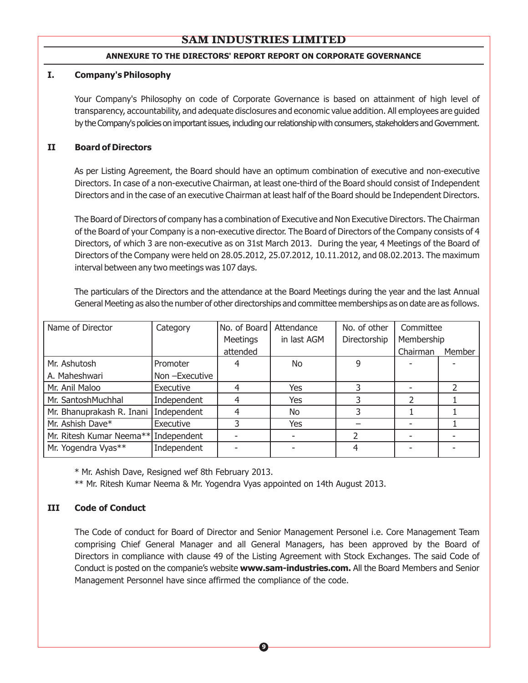#### **ANNEXURE TO THE DIRECTORS' REPORT REPORT ON CORPORATE GOVERNANCE**

#### **I. Company's Philosophy**

Your Company's Philosophy on code of Corporate Governance is based on attainment of high level of transparency, accountability, and adequate disclosures and economic value addition. All employees are guided by the Company's policies on important issues, including our relationship with consumers, stakeholders and Government.

#### **II Board of Directors**

As per Listing Agreement, the Board should have an optimum combination of executive and non-executive Directors. In case of a non-executive Chairman, at least one-third of the Board should consist of Independent Directors and in the case of an executive Chairman at least half of the Board should be Independent Directors.

The Board of Directors of company has a combination of Executive and Non Executive Directors. The Chairman of the Board of your Company is a non-executive director. The Board of Directors of the Company consists of 4 Directors, of which 3 are non-executive as on 31st March 2013. During the year, 4 Meetings of the Board of Directors of the Company were held on 28.05.2012, 25.07.2012, 10.11.2012, and 08.02.2013. The maximum interval between any two meetings was 107 days.

The particulars of the Directors and the attendance at the Board Meetings during the year and the last Annual General Meeting as also the number of other directorships and committee memberships as on date are as follows.

| Name of Director          | Category      | No. of Board | Attendance  | No. of other | Committee  |        |
|---------------------------|---------------|--------------|-------------|--------------|------------|--------|
|                           |               | Meetings     | in last AGM | Directorship | Membership |        |
|                           |               | attended     |             |              | Chairman   | Member |
| Mr. Ashutosh              | Promoter      |              | No.         | 9            |            |        |
| A. Maheshwari             | Non-Executive |              |             |              |            |        |
| Mr. Anil Maloo            | Executive     |              | Yes         |              |            |        |
| Mr. SantoshMuchhal        | Independent   |              | Yes         |              |            |        |
| Mr. Bhanuprakash R. Inani | Independent   |              | No          |              |            |        |
| Mr. Ashish Dave*          | Executive     |              | Yes         |              |            |        |
| Mr. Ritesh Kumar Neema**  | Independent   |              |             |              |            |        |
| Mr. Yogendra Vyas**       | Independent   |              |             |              |            |        |

\* Mr. Ashish Dave, Resigned wef 8th February 2013.

\*\* Mr. Ritesh Kumar Neema & Mr. Yogendra Vyas appointed on 14th August 2013.

## **III Code of Conduct**

The Code of conduct for Board of Director and Senior Management Personel i.e. Core Management Team comprising Chief General Manager and all General Managers, has been approved by the Board of Directors in compliance with clause 49 of the Listing Agreement with Stock Exchanges. The said Code of Conduct is posted on the companie's website **www.sam-industries.com.** All the Board Members and Senior Management Personnel have since affirmed the compliance of the code.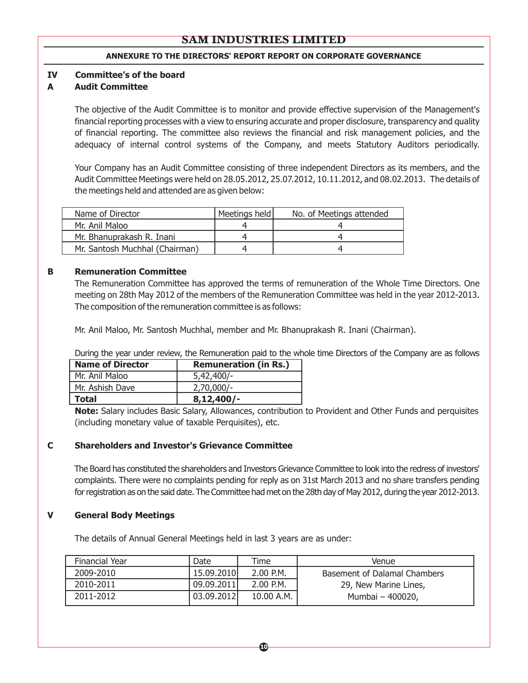#### **ANNEXURE TO THE DIRECTORS' REPORT REPORT ON CORPORATE GOVERNANCE**

#### **IV Committee's of the board**

#### **A Audit Committee**

The objective of the Audit Committee is to monitor and provide effective supervision of the Management's financial reporting processes with a view to ensuring accurate and proper disclosure, transparency and quality of financial reporting. The committee also reviews the financial and risk management policies, and the adequacy of internal control systems of the Company, and meets Statutory Auditors periodically.

Your Company has an Audit Committee consisting of three independent Directors as its members, and the Audit Committee Meetings were held on 28.05.2012, 25.07.2012, 10.11.2012, and 08.02.2013. The details of the meetings held and attended are as given below:

| Name of Director               | Meetings held | No. of Meetings attended |
|--------------------------------|---------------|--------------------------|
| Mr. Anil Maloo                 |               |                          |
| Mr. Bhanuprakash R. Inani      |               |                          |
| Mr. Santosh Muchhal (Chairman) |               |                          |

## **B Remuneration Committee**

The Remuneration Committee has approved the terms of remuneration of the Whole Time Directors. One meeting on 28th May 2012 of the members of the Remuneration Committee was held in the year 2012-2013. The composition of the remuneration committee is as follows:

Mr. Anil Maloo, Mr. Santosh Muchhal, member and Mr. Bhanuprakash R. Inani (Chairman).

During the year under review, the Remuneration paid to the whole time Directors of the Company are as follows

| <b>Name of Director</b> | <b>Remuneration (in Rs.)</b> |  |
|-------------------------|------------------------------|--|
| Mr. Anil Maloo          | $5,42,400/-$                 |  |
| Mr. Ashish Dave         | $2,70,000/-$                 |  |
| <b>Total</b>            | $8,12,400/-$                 |  |

**Note:** Salary includes Basic Salary, Allowances, contribution to Provident and Other Funds and perquisites (including monetary value of taxable Perquisites), etc.

#### **C Shareholders and Investor's Grievance Committee**

The Board has constituted the shareholders and Investors Grievance Committee to look into the redress of investors' complaints. There were no complaints pending for reply as on 31st March 2013 and no share transfers pending for registration as on the said date. The Committee had met on the 28th day of May 2012, during the year 2012-2013.

#### **V General Body Meetings**

The details of Annual General Meetings held in last 3 years are as under:

| Financial Year | Date       | <b>Time</b> | Venue                        |
|----------------|------------|-------------|------------------------------|
| 2009-2010      | 15.09.2010 | $2.00$ P.M. | Basement of Dalamal Chambers |
| 2010-2011      | 09.09.2011 | $2.00$ P.M. | 29, New Marine Lines,        |
| 2011-2012      | 03.09.2012 | 10.00 A.M.  | Mumbai - 400020,             |

**10**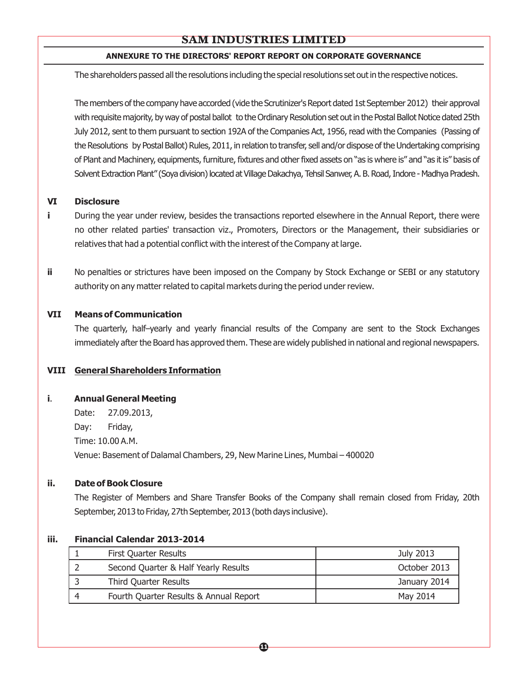## **ANNEXURE TO THE DIRECTORS' REPORT REPORT ON CORPORATE GOVERNANCE**

The shareholders passed all the resolutions including the special resolutions set out in the respective notices.

The members of the company have accorded (vide the Scrutinizer's Report dated 1st September 2012) their approval with requisite majority, by way of postal ballot to the Ordinary Resolution set out in the Postal Ballot Notice dated 25th July 2012, sent to them pursuant to section 192A of the Companies Act, 1956, read with the Companies (Passing of the Resolutions by Postal Ballot) Rules, 2011, in relation to transfer, sell and/or dispose oftheUndertaking comprising of Plant and Machinery, equipments, furniture, fixtures and other fixed assets on "as is where is" and "as it is" basis of Solvent Extraction Plant" (Soya division) located at Village Dakachya, Tehsil Sanwer, A. B. Road, Indore - Madhya Pradesh.

#### **VI Disclosure**

- **i** During the year under review, besides the transactions reported elsewhere in the Annual Report, there were no other related parties' transaction viz., Promoters, Directors or the Management, their subsidiaries or relatives that had a potential conflict with the interest of the Company at large.
- **ii** No penalties or strictures have been imposed on the Company by Stock Exchange or SEBI or any statutory authority on any matter related to capital markets during the period under review.

#### **VII Means of Communication**

The quarterly, half–yearly and yearly financial results of the Company are sent to the Stock Exchanges immediately after the Board has approved them. These are widely published in national and regional newspapers.

#### **VIII General Shareholders Information**

#### **i**. **Annual General Meeting**

Date: 27.09.2013, Day: Friday, Time: 10.00 A.M. Venue: Basement of Dalamal Chambers, 29, New Marine Lines, Mumbai – 400020

#### **ii. Date of Book Closure**

The Register of Members and Share Transfer Books of the Company shall remain closed from Friday, 20th September, 2013 to Friday, 27th September, 2013 (both days inclusive).

#### **iii. Financial Calendar 2013-2014**

| <b>First Quarter Results</b>           | July 2013    |
|----------------------------------------|--------------|
| Second Quarter & Half Yearly Results   | October 2013 |
| Third Quarter Results                  | January 2014 |
| Fourth Quarter Results & Annual Report | May 2014     |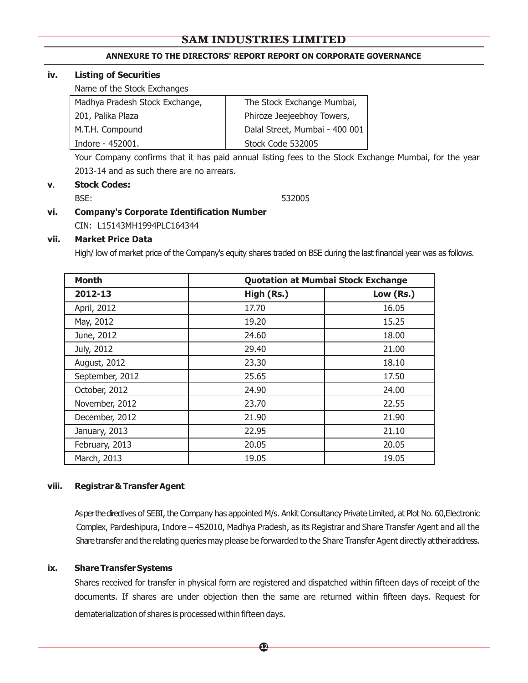#### **ANNEXURE TO THE DIRECTORS' REPORT REPORT ON CORPORATE GOVERNANCE**

#### **iv. Listing of Securities**

Name of the Stock Exchanges

| Madhya Pradesh Stock Exchange, | The Stock Exchange Mumbai,     |
|--------------------------------|--------------------------------|
| 201, Palika Plaza              | Phiroze Jeejeebhoy Towers,     |
| M.T.H. Compound                | Dalal Street, Mumbai - 400 001 |
| Indore - 452001.               | Stock Code 532005              |
|                                |                                |

Your Company confirms that it has paid annual listing fees to the Stock Exchange Mumbai, for the year 2013-14 and as such there are no arrears.

#### **v**. **Stock Codes:**

BSE: 532005

# **vi. Company's Corporate Identification Number**

CIN: L15143MH1994PLC164344

#### **vii. Market Price Data**

High/ low of market price of the Company's equity shares traded on BSE during the last financial year was as follows.

| <b>Month</b>    | <b>Quotation at Mumbai Stock Exchange</b> |           |
|-----------------|-------------------------------------------|-----------|
| 2012-13         | High (Rs.)                                | Low (Rs.) |
| April, 2012     | 17.70                                     | 16.05     |
| May, 2012       | 19.20                                     | 15.25     |
| June, 2012      | 24.60                                     | 18.00     |
| July, 2012      | 29.40                                     | 21.00     |
| August, 2012    | 23.30                                     | 18.10     |
| September, 2012 | 25.65                                     | 17.50     |
| October, 2012   | 24.90                                     | 24.00     |
| November, 2012  | 23.70                                     | 22.55     |
| December, 2012  | 21.90                                     | 21.90     |
| January, 2013   | 22.95                                     | 21.10     |
| February, 2013  | 20.05                                     | 20.05     |
| March, 2013     | 19.05                                     | 19.05     |

#### **viii. Registrar&TransferAgent**

As per the directives of SEBI, the Company has appointed M/s. Ankit Consultancy Private Limited, at Plot No. 60, Electronic Complex, Pardeshipura, Indore – 452010, Madhya Pradesh, as its Registrar and Share Transfer Agent and all the Sharetransfer and the relating queries may please be forwarded to the Share Transfer Agent directly at their address.

#### **ix. ShareTransferSystems**

Shares received for transfer in physical form are registered and dispatched within fifteen days of receipt of the documents. If shares are under objection then the same are returned within fifteen days. Request for dematerialization of shares is processed within fifteen days.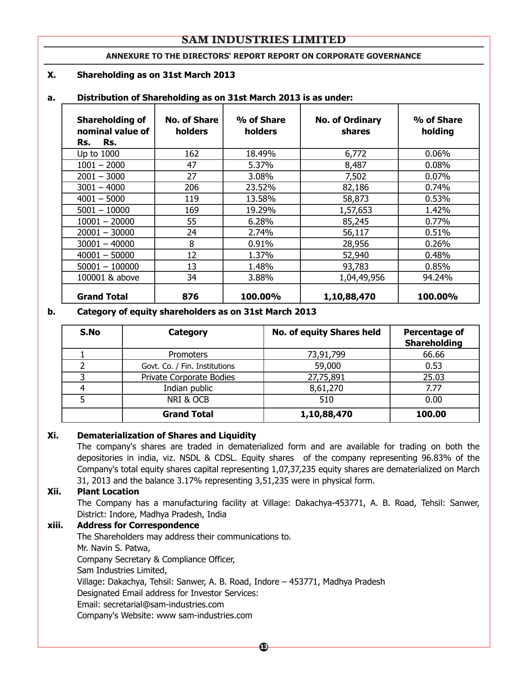#### **ANNEXURE TO THE DIRECTORS' REPORT REPORT ON CORPORATE GOVERNANCE**

#### **X. Shareholding as on 31st March 2013**

## Shareholding of | No. of Share | % of Share | No. of Ordinary | % of Share **nominal value of holders holders shares holding Rs. Rs.** Up to 1000 | 162 | 18.49% | 6,772 | 0.06% 1001 – 2000 47 5.37% 8,487 0.08% 2001 – 3000 27 3.08% 7,502 0.07% 3001 – 4000 206 23.52% 82,186 0.74% 4001 – 5000 119 13.58% 58,873 0.53% 5001 – 10000 169 19.29% 1,57,653 1.42% 10001 – 20000 l 55 l 6.28% l 85,245 l 0.77% 20001 – 30000  $\vert$  24  $\vert$  2.74%  $\vert$  56,117  $\vert$  0.51%  $30001 - 40000$  | 8 | 0.91% | 28,956 | 0.26% 40001 – 50000 12 1.37% 52,940 1.38% 50001 – 100000 13 1.48% 93,783 0.85% 100001 & above  $\begin{array}{|c|c|c|c|c|c|} \hline \end{array}$  3.88% 1,04,49,956 94.24% **Grand Total 876 100.00% 1,10,88,470 100.00%**

#### **a. Distribution of Shareholding as on 31st March 2013 is as under:**

#### **b. Category of equity shareholders as on 31st March 2013**

| S.No | Category                      | <b>No. of equity Shares held</b> | Percentage of<br><b>Shareholding</b> |
|------|-------------------------------|----------------------------------|--------------------------------------|
|      | <b>Promoters</b>              | 73,91,799                        | 66.66                                |
|      | Govt. Co. / Fin. Institutions | 59,000                           | 0.53                                 |
|      | Private Corporate Bodies      | 27,75,891                        | 25.03                                |
|      | Indian public                 | 8,61,270                         | 7.77                                 |
|      | NRI & OCB                     | 510                              | 0.00                                 |
|      | <b>Grand Total</b>            | 1,10,88,470                      | 100.00                               |

#### **Xi. Dematerialization of Shares and Liquidity**

The company's shares are traded in dematerialized form and are available for trading on both the depositories in india, viz. NSDL & CDSL. Equity shares of the company representing 96.83% of the Company's total equity shares capital representing 1,07,37,235 equity shares are dematerialized on March 31, 2013 and the balance 3.17% representing 3,51,235 were in physical form.

#### **Xii. Plant Location**

The Company has a manufacturing facility at Village: Dakachya-453771, A. B. Road, Tehsil: Sanwer, District: Indore, Madhya Pradesh, India

#### **xiii. Address for Correspondence**

The Shareholders may address their communications to. Mr. Navin S. Patwa, Company Secretary & Compliance Officer, Sam Industries Limited, Village: Dakachya, Tehsil: Sanwer, A. B. Road, Indore – 453771, Madhya Pradesh Designated Email address for Investor Services: Email: secretarial@sam-industries.com Company's Website: www sam-industries.com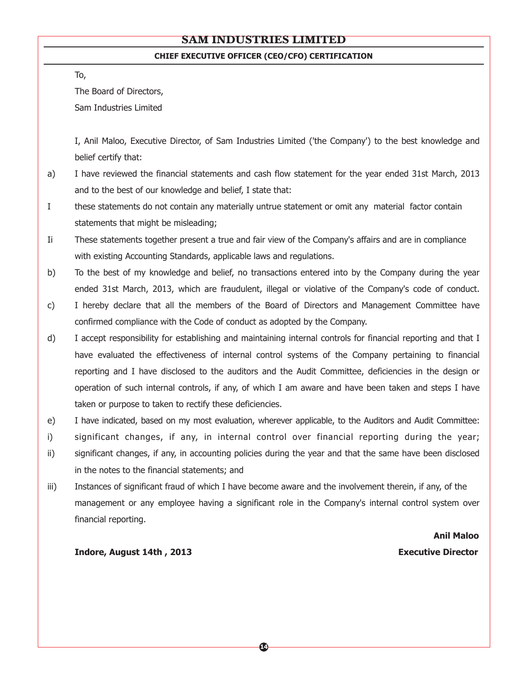#### **CHIEF EXECUTIVE OFFICER (CEO/CFO) CERTIFICATION**

To,

The Board of Directors,

Sam Industries Limited

I, Anil Maloo, Executive Director, of Sam Industries Limited ('the Company') to the best knowledge and belief certify that:

- a) I have reviewed the financial statements and cash flow statement for the year ended 31st March, 2013 and to the best of our knowledge and belief, I state that:
- I these statements do not contain any materially untrue statement or omit any material factor contain statements that might be misleading;
- Ii These statements together present a true and fair view of the Company's affairs and are in compliance with existing Accounting Standards, applicable laws and regulations.
- b) To the best of my knowledge and belief, no transactions entered into by the Company during the year ended 31st March, 2013, which are fraudulent, illegal or violative of the Company's code of conduct.
- c) I hereby declare that all the members of the Board of Directors and Management Committee have confirmed compliance with the Code of conduct as adopted by the Company.
- d) I accept responsibility for establishing and maintaining internal controls for financial reporting and that I have evaluated the effectiveness of internal control systems of the Company pertaining to financial reporting and I have disclosed to the auditors and the Audit Committee, deficiencies in the design or operation of such internal controls, if any, of which I am aware and have been taken and steps I have taken or purpose to taken to rectify these deficiencies.
- e) I have indicated, based on my most evaluation, wherever applicable, to the Auditors and Audit Committee:
- i) significant changes, if any, in internal control over financial reporting during the year;
- ii) significant changes, if any, in accounting policies during the year and that the same have been disclosed in the notes to the financial statements; and
- iii) Instances of significant fraud of which I have become aware and the involvement therein, if any, of the management or any employee having a significant role in the Company's internal control system over financial reporting.

 **Anil Maloo** 

**Indore, August 14th , 2013 Executive Director**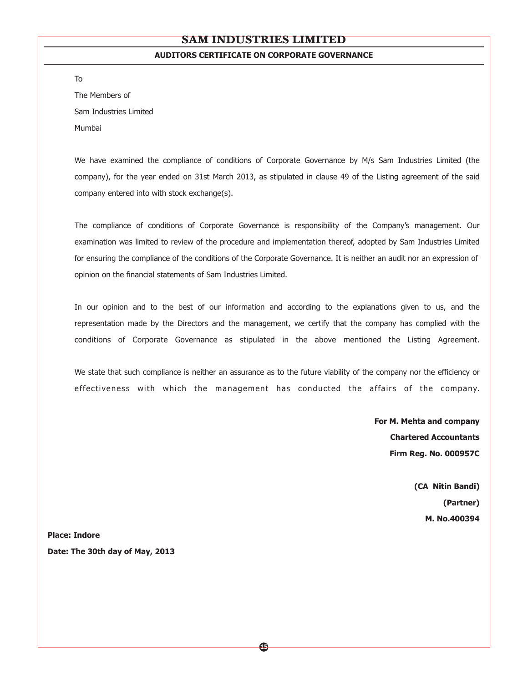#### **AUDITORS CERTIFICATE ON CORPORATE GOVERNANCE**

The Members of Sam Industries Limited Mumbai

To

We have examined the compliance of conditions of Corporate Governance by M/s Sam Industries Limited (the company), for the year ended on 31st March 2013, as stipulated in clause 49 of the Listing agreement of the said company entered into with stock exchange(s).

The compliance of conditions of Corporate Governance is responsibility of the Company's management. Our examination was limited to review of the procedure and implementation thereof, adopted by Sam Industries Limited for ensuring the compliance of the conditions of the Corporate Governance. It is neither an audit nor an expression of opinion on the financial statements of Sam Industries Limited.

In our opinion and to the best of our information and according to the explanations given to us, and the representation made by the Directors and the management, we certify that the company has complied with the conditions of Corporate Governance as stipulated in the above mentioned the Listing Agreement.

We state that such compliance is neither an assurance as to the future viability of the company nor the efficiency or effectiveness with which the management has conducted the affairs of the company.

> **For M. Mehta and company Chartered Accountants Firm Reg. No. 000957C**

> > **(CA Nitin Bandi) (Partner) M. No.400394**

**Place: Indore Date: The 30th day of May, 2013**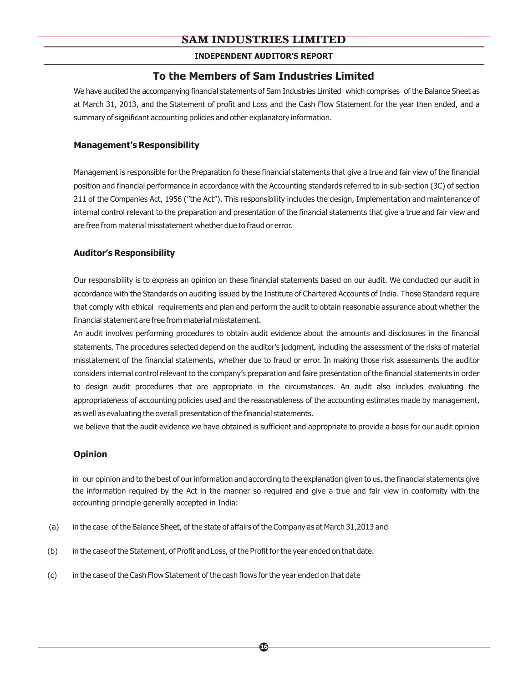#### **INDEPENDENT AUDITOR'S REPORT**

## **To the Members of Sam Industries Limited**

We have audited the accompanying financial statements of Sam Industries Limited which comprises of the Balance Sheet as at March 31, 2013, and the Statement of profit and Loss and the Cash Flow Statement for the year then ended, and a summary of significant accounting policies and other explanatory information.

#### **Management's Responsibility**

Management is responsible for the Preparation fo these financial statements that give a true and fair view of the financial position and financial performance in accordance with the Accounting standards referred to in sub-section (3C) of section 211 of the Companies Act, 1956 ("the Act"). This responsibility includes the design, Implementation and maintenance of internal control relevant to the preparation and presentation of the financial statements that give a true and fair view and are free from material misstatement whether due to fraud or error.

#### **Auditor's Responsibility**

Our responsibility is to express an opinion on these financial statements based on our audit. We conducted our audit in accordance with the Standards on auditing issued by the Institute of Chartered Accounts of India. Those Standard require that comply with ethical requirements and plan and perform the audit to obtain reasonable assurance about whether the financial statement are free from material misstatement.

An audit involves performing procedures to obtain audit evidence about the amounts and disclosures in the financial statements. The procedures selected depend on the auditor's judgment, including the assessment of the risks of material misstatement of the financial statements, whether due to fraud or error. In making those risk assessments the auditor considers internal control relevant to the company's preparation and faire presentation of the financial statements in order to design audit procedures that are appropriate in the circumstances. An audit also includes evaluating the appropriateness of accounting policies used and the reasonableness of the accounting estimates made by management, as well as evaluating the overall presentation of the financial statements.

we believe that the audit evidence we have obtained is sufficient and appropriate to provide a basis for our audit opinion

#### **Opinion**

in our opinion and to the best of our information and according to the explanation given to us, the financial statements give the information required by the Act in the manner so required and give a true and fair view in conformity with the accounting principle generally accepted in India:

- (a) in the case of the Balance Sheet, of the state of affairs of the Company as at March 31,2013 and
- (b) in the case of the Statement, of Profit and Loss, of the Profit for the year ended on that date.
- (c) in the case of the Cash Flow Statement of the cash flows for the year ended on that date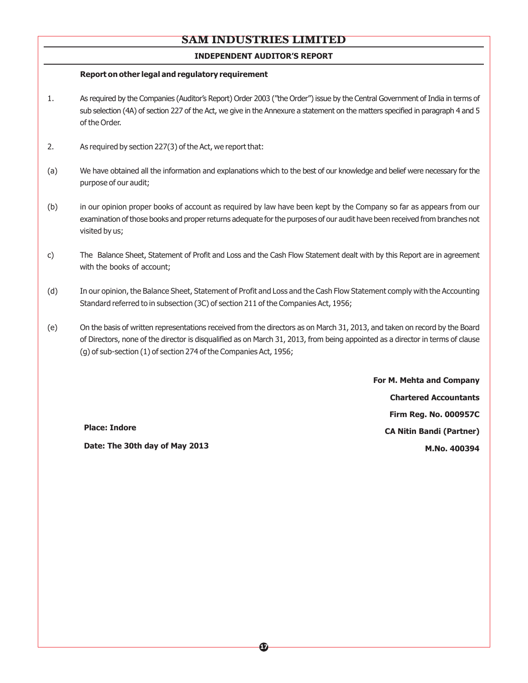#### **INDEPENDENT AUDITOR'S REPORT**

#### **Report on other legal and regulatory requirement**

- 1. As required by the Companies (Auditor's Report) Order 2003 ("the Order") issue by the Central Government of India in terms of sub selection (4A) of section 227 of the Act, we give in the Annexure a statement on the matters specified in paragraph 4 and 5 of the Order.
- 2. As required by section 227(3) of the Act, we report that:
- (a) We have obtained all the information and explanations which to the best of our knowledge and belief were necessary for the purpose of our audit;
- (b) in our opinion proper books of account as required by law have been kept by the Company so far as appears from our examination of those books and properreturns adequate forthe purposes of our audit have been received from branches not visited by us;
- c) The Balance Sheet, Statement of Profit and Loss and the Cash Flow Statement dealt with by this Report are in agreement with the books of account;
- (d) In our opinion, the Balance Sheet, Statement of Profit and Loss and the Cash Flow Statement comply with the Accounting Standard referred to in subsection (3C) of section 211 of the Companies Act, 1956;
- (e) On the basis of written representations received from the directors as on March 31, 2013, and taken on record by the Board of Directors, none of the director is disqualified as on March 31, 2013, from being appointed as a director in terms of clause (g) of sub-section (1) of section 274 of the Companies Act, 1956;

**For M. Mehta and Company Chartered Accountants Firm Reg. No. 000957C CA Nitin Bandi (Partner) M.No. 400394**

**Place: Indore**

**Date: The 30th day of May 2013**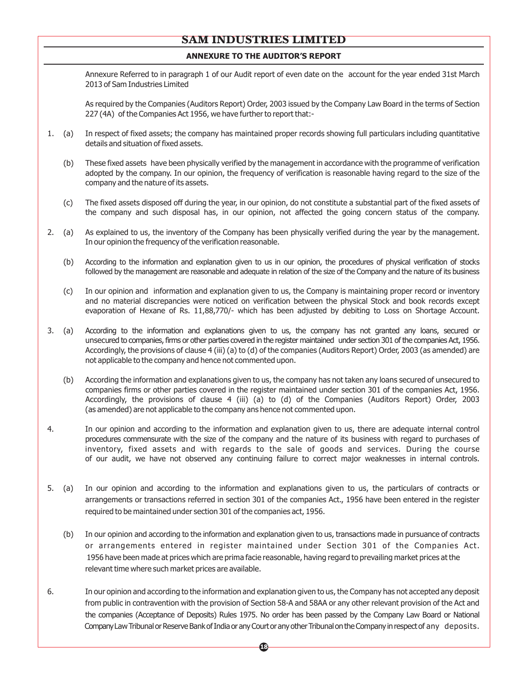#### **ANNEXURE TO THE AUDITOR'S REPORT**

Annexure Referred to in paragraph 1 of our Audit report of even date on the account for the year ended 31st March 2013 of Sam Industries Limited

As required by the Companies (Auditors Report) Order, 2003 issued by the Company Law Board in the terms of Section 227 (4A) of the Companies Act 1956, we have further to report that:-

- 1. (a) In respect of fixed assets; the company has maintained proper records showing full particulars including quantitative details and situation of fixed assets.
	- (b) These fixed assets have been physically verified by the management in accordance with the programme of verification adopted by the company. In our opinion, the frequency of verification is reasonable having regard to the size of the company and the nature of its assets.
	- (c) The fixed assets disposed off during the year, in our opinion, do not constitute a substantial part of the fixed assets of the company and such disposal has, in our opinion, not affected the going concern status of the company.
- 2. (a) As explained to us, the inventory of the Company has been physically verified during the year by the management. In our opinion the frequency of the verification reasonable.
	- (b) According to the information and explanation given to us in our opinion, the procedures of physical verification of stocks followed by the management are reasonable and adequate in relation of the size of the Company and the nature of its business
	- (c) In our opinion and information and explanation given to us, the Company is maintaining proper record or inventory and no material discrepancies were noticed on verification between the physical Stock and book records except evaporation of Hexane of Rs. 11,88,770/- which has been adjusted by debiting to Loss on Shortage Account.
- 3. (a) According to the information and explanations given to us, the company has not granted any loans, secured or unsecured to companies, firms or other parties covered in the register maintained under section 301 of the companies Act, 1956. Accordingly, the provisions of clause 4 (iii) (a) to (d) of the companies (Auditors Report) Order, 2003 (as amended) are not applicable to the company and hence not commented upon.
	- (b) According the information and explanations given to us, the company has not taken any loans secured of unsecured to companies firms or other parties covered in the register maintained under section 301 of the companies Act, 1956. Accordingly, the provisions of clause 4 (iii) (a) to (d) of the Companies (Auditors Report) Order, 2003 (as amended) are not applicable to the company ans hence not commented upon.
- 4. In our opinion and according to the information and explanation given to us, there are adequate internal control procedures commensurate with the size of the company and the nature of its business with regard to purchases of inventory, fixed assets and with regards to the sale of goods and services. During the course of our audit, we have not observed any continuing failure to correct major weaknesses in internal controls.
- 5. (a) In our opinion and according to the information and explanations given to us, the particulars of contracts or arrangements or transactions referred in section 301 of the companies Act., 1956 have been entered in the register required to be maintained under section 301 of the companies act, 1956.
	- (b) In our opinion and according to the information and explanation given to us, transactions made in pursuance of contracts or arrangements entered in register maintained under Section 301 of the Companies Act. 1956 have been made at prices which are prima facie reasonable, having regard to prevailing market prices at the relevant time where such market prices are available.
- 6. In our opinion and according to the information and explanation given to us, the Company has not accepted any deposit from public in contravention with the provision of Section 58-A and 58AA or any other relevant provision of the Act and the companies (Acceptance of Deposits) Rules 1975. No order has been passed by the Company Law Board or National Company Law Tribunal or Reserve Bank of India or any Court or any other Tribunal on the Company in respect of any deposits.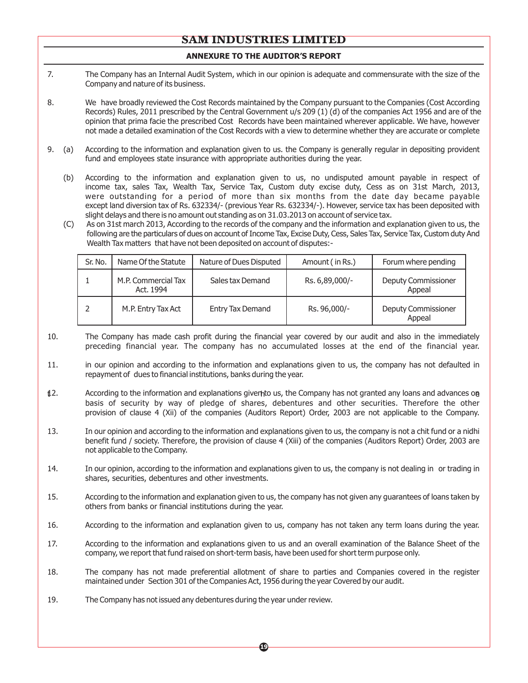#### **ANNEXURE TO THE AUDITOR'S REPORT**

- 7. The Company has an Internal Audit System, which in our opinion is adequate and commensurate with the size of the Company and nature of its business.
- 8. We have broadly reviewed the Cost Records maintained by the Company pursuant to the Companies (Cost According Records) Rules, 2011 prescribed by the Central Government u/s 209 (1) (d) of the companies Act 1956 and are of the opinion that prima facie the prescribed Cost Records have been maintained wherever applicable. We have, however not made a detailed examination of the Cost Records with a view to determine whether they are accurate or complete
- 9. (a) According to the information and explanation given to us. the Company is generally regular in depositing provident fund and employees state insurance with appropriate authorities during the year.
	- (b) According to the information and explanation given to us, no undisputed amount payable in respect of income tax, sales Tax, Wealth Tax, Service Tax, Custom duty excise duty, Cess as on 31st March, 2013, were outstanding for a period of more than six months from the date day became payable except land diversion tax of Rs. 632334/- (previous Year Rs. 632334/-). However, service tax has been deposited with slight delays and there is no amount out standing as on 31.03.2013 on account of service tax.
	- (C) As on 31st march 2013, According to the records of the company and the information and explanation given to us, the following are the particulars of dues on account of Income Tax, Excise Duty, Cess, Sales Tax, Service Tax, Custom duty And Wealth Tax matters that have not been deposited on account of disputes:-

| Sr. No. | Name Of the Statute              | Nature of Dues Disputed | Amount (in Rs.) | Forum where pending                  |
|---------|----------------------------------|-------------------------|-----------------|--------------------------------------|
|         | M.P. Commercial Tax<br>Act. 1994 | Sales tax Demand        | Rs. 6,89,000/-  | Deputy Commissioner<br>Appeal        |
|         | M.P. Entry Tax Act               | <b>Entry Tax Demand</b> | Rs. 96,000/-    | <b>Deputy Commissioner</b><br>Appeal |

- 10. The Company has made cash profit during the financial year covered by our audit and also in the immediately preceding financial year. The company has no accumulated losses at the end of the financial year.
- 11. in our opinion and according to the information and explanations given to us, the company has not defaulted in repayment of dues to financial institutions, banks during the year.
- $\sharp 2$ . According to the information and explanations givert to us, the Company has not granted any loans and advances on basis of security by way of pledge of shares, debentures and other securities. Therefore the other provision of clause 4 (Xii) of the companies (Auditors Report) Order, 2003 are not applicable to the Company.
- 13. In our opinion and according to the information and explanations given to us, the company is not a chit fund or a nidhi benefit fund / society. Therefore, the provision of clause 4 (Xiii) of the companies (Auditors Report) Order, 2003 are not applicable to the Company.
- 14. In our opinion, according to the information and explanations given to us, the company is not dealing in or trading in shares, securities, debentures and other investments.
- 15. According to the information and explanation given to us, the company has not given any guarantees of loans taken by others from banks or financial institutions during the year.
- 16. According to the information and explanation given to us, company has not taken any term loans during the year.
- 17. According to the information and explanations given to us and an overall examination of the Balance Sheet of the company, we report that fund raised on short-term basis, have been used for short term purpose only.
- 18. The company has not made preferential allotment of share to parties and Companies covered in the register maintained under Section 301 of the Companies Act, 1956 during the year Covered by our audit.
- 19. The Company has not issued any debentures during the year under review.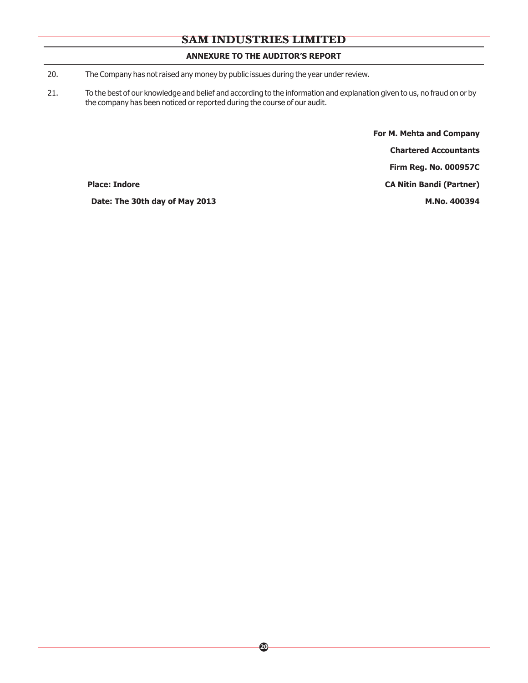#### **ANNEXURE TO THE AUDITOR'S REPORT**

20. The Company has not raised any money by public issues during the year under review.

21. To the best of our knowledge and belief and according to the information and explanation given to us, no fraud on or by the company has been noticed or reported during the course of our audit.

> **For M. Mehta and Company Chartered Accountants**

> > **Firm Reg. No. 000957C**

**Place: Indore CA Nitin Bandi (Partner)** 

Date: The 30th day of May 2013 M.No. 400394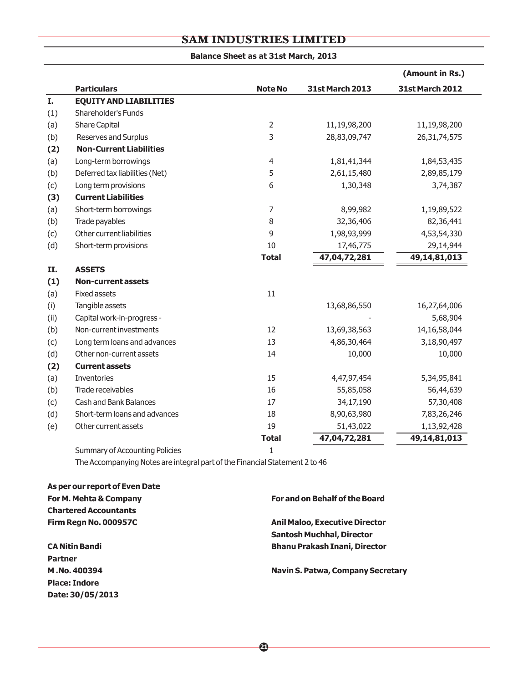| <b>Balance Sheet as at 31st March, 2013</b> |  |  |  |  |  |  |
|---------------------------------------------|--|--|--|--|--|--|
|---------------------------------------------|--|--|--|--|--|--|

|      |                                       |                |                        | (Amount in Rs.)        |
|------|---------------------------------------|----------------|------------------------|------------------------|
|      | <b>Particulars</b>                    | <b>Note No</b> | <b>31st March 2013</b> | <b>31st March 2012</b> |
| I.   | <b>EQUITY AND LIABILITIES</b>         |                |                        |                        |
| (1)  | Shareholder's Funds                   |                |                        |                        |
| (a)  | Share Capital                         | $\overline{2}$ | 11,19,98,200           | 11,19,98,200           |
| (b)  | Reserves and Surplus                  | 3              | 28,83,09,747           | 26, 31, 74, 575        |
| (2)  | <b>Non-Current Liabilities</b>        |                |                        |                        |
| (a)  | Long-term borrowings                  | $\overline{4}$ | 1,81,41,344            | 1,84,53,435            |
| (b)  | Deferred tax liabilities (Net)        | 5              | 2,61,15,480            | 2,89,85,179            |
| (c)  | Long term provisions                  | 6              | 1,30,348               | 3,74,387               |
| (3)  | <b>Current Liabilities</b>            |                |                        |                        |
| (a)  | Short-term borrowings                 | 7              | 8,99,982               | 1,19,89,522            |
| (b)  | Trade payables                        | 8              | 32,36,406              | 82,36,441              |
| (c)  | Other current liabilities             | 9              | 1,98,93,999            | 4,53,54,330            |
| (d)  | Short-term provisions                 | 10             | 17,46,775              | 29,14,944              |
|      |                                       | <b>Total</b>   | 47,04,72,281           | 49,14,81,013           |
| II.  | <b>ASSETS</b>                         |                |                        |                        |
| (1)  | <b>Non-current assets</b>             |                |                        |                        |
| (a)  | <b>Fixed assets</b>                   | 11             |                        |                        |
| (i)  | Tangible assets                       |                | 13,68,86,550           | 16,27,64,006           |
| (ii) | Capital work-in-progress -            |                |                        | 5,68,904               |
| (b)  | Non-current investments               | 12             | 13,69,38,563           | 14, 16, 58, 044        |
| (c)  | Long term loans and advances          | 13             | 4,86,30,464            | 3,18,90,497            |
| (d)  | Other non-current assets              | 14             | 10,000                 | 10,000                 |
| (2)  | <b>Current assets</b>                 |                |                        |                        |
| (a)  | Inventories                           | 15             | 4,47,97,454            | 5,34,95,841            |
| (b)  | Trade receivables                     | 16             | 55,85,058              | 56,44,639              |
| (c)  | Cash and Bank Balances                | 17             | 34,17,190              | 57,30,408              |
| (d)  | Short-term loans and advances         | 18             | 8,90,63,980            | 7,83,26,246            |
| (e)  | Other current assets                  | 19             | 51,43,022              | 1,13,92,428            |
|      |                                       | <b>Total</b>   | 47,04,72,281           | 49, 14, 81, 013        |
|      | <b>Summary of Accounting Policies</b> | $\mathbf{1}$   |                        |                        |

The Accompanying Notes are integral part of the Financial Statement 2 to 46

| As per our report of Even Date |                                          |
|--------------------------------|------------------------------------------|
| For M. Mehta & Company         | For and on Behalf of the Board           |
| <b>Chartered Accountants</b>   |                                          |
| Firm Regn No. 000957C          | <b>Anil Maloo, Executive Director</b>    |
|                                | <b>Santosh Muchhal, Director</b>         |
| <b>CA Nitin Bandi</b>          | <b>Bhanu Prakash Inani, Director</b>     |
| <b>Partner</b>                 |                                          |
| M.No.400394                    | <b>Navin S. Patwa, Company Secretary</b> |
| <b>Place: Indore</b>           |                                          |
| Date: 30/05/2013               |                                          |
|                                |                                          |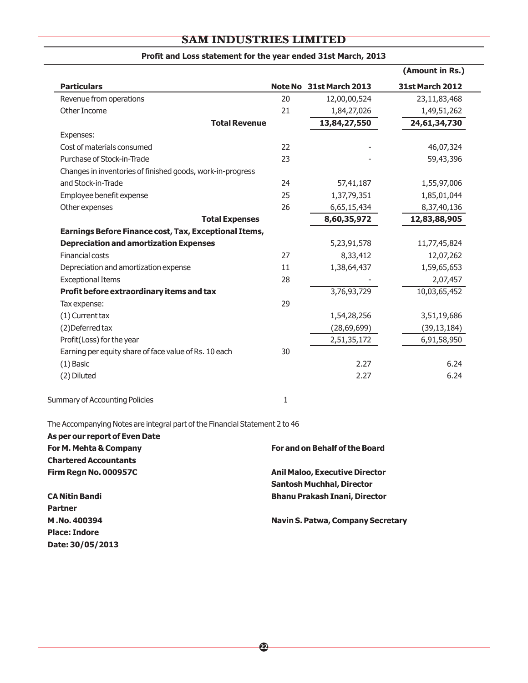|                                                            |    |                         | (Amount in Rs.)        |
|------------------------------------------------------------|----|-------------------------|------------------------|
| <b>Particulars</b>                                         |    | Note No 31st March 2013 | <b>31st March 2012</b> |
| Revenue from operations                                    | 20 | 12,00,00,524            | 23,11,83,468           |
| Other Income                                               | 21 | 1,84,27,026             | 1,49,51,262            |
| <b>Total Revenue</b>                                       |    | 13,84,27,550            | 24,61,34,730           |
| Expenses:                                                  |    |                         |                        |
| Cost of materials consumed                                 | 22 |                         | 46,07,324              |
| Purchase of Stock-in-Trade                                 | 23 |                         | 59,43,396              |
| Changes in inventories of finished goods, work-in-progress |    |                         |                        |
| and Stock-in-Trade                                         | 24 | 57,41,187               | 1,55,97,006            |
| Employee benefit expense                                   | 25 | 1,37,79,351             | 1,85,01,044            |
| Other expenses                                             | 26 | 6,65,15,434             | 8,37,40,136            |
| <b>Total Expenses</b>                                      |    | 8,60,35,972             | 12,83,88,905           |
| Earnings Before Finance cost, Tax, Exceptional Items,      |    |                         |                        |
| <b>Depreciation and amortization Expenses</b>              |    | 5,23,91,578             | 11,77,45,824           |
| <b>Financial costs</b>                                     | 27 | 8,33,412                | 12,07,262              |
| Depreciation and amortization expense                      | 11 | 1,38,64,437             | 1,59,65,653            |
| <b>Exceptional Items</b>                                   | 28 |                         | 2,07,457               |
| Profit before extraordinary items and tax                  |    | 3,76,93,729             | 10,03,65,452           |
| Tax expense:                                               | 29 |                         |                        |
| (1) Current tax                                            |    | 1,54,28,256             | 3,51,19,686            |
| (2) Deferred tax                                           |    | (28, 69, 699)           | (39, 13, 184)          |
| Profit(Loss) for the year                                  |    | 2,51,35,172             | 6,91,58,950            |
| Earning per equity share of face value of Rs. 10 each      | 30 |                         |                        |
| $(1)$ Basic                                                |    | 2.27                    | 6.24                   |
| (2) Diluted                                                |    | 2.27                    | 6.24                   |
| <b>Summary of Accounting Policies</b>                      | 1  |                         |                        |

## **Profit and Loss statement for the year ended 31st March, 2013**

The Accompanying Notes are integral part of the Financial Statement 2 to 46

 $\overline{\phantom{0}}$ 

| As per our report of Even Date |                                          |
|--------------------------------|------------------------------------------|
| For M. Mehta & Company         | For and on Behalf of the Board           |
| <b>Chartered Accountants</b>   |                                          |
| Firm Regn No. 000957C          | <b>Anil Maloo, Executive Director</b>    |
|                                | <b>Santosh Muchhal, Director</b>         |
| <b>CA Nitin Bandi</b>          | <b>Bhanu Prakash Inani, Director</b>     |
| <b>Partner</b>                 |                                          |
| M.No.400394                    | <b>Navin S. Patwa, Company Secretary</b> |
| <b>Place: Indore</b>           |                                          |
| Date: 30/05/2013               |                                          |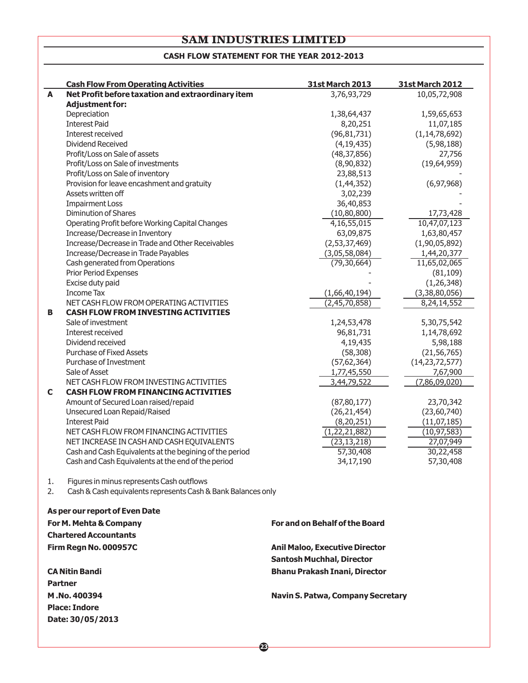#### **CASH FLOW STATEMENT FOR THE YEAR 2012-2013**

|    | <b>Cash Flow From Operating Activities</b>                    | <b>31st March 2013</b>                | <b>31st March 2012</b> |  |  |
|----|---------------------------------------------------------------|---------------------------------------|------------------------|--|--|
| A  | Net Profit before taxation and extraordinary item             | 3,76,93,729                           | 10,05,72,908           |  |  |
|    | <b>Adjustment for:</b>                                        |                                       |                        |  |  |
|    | Depreciation                                                  | 1,38,64,437                           | 1,59,65,653            |  |  |
|    | <b>Interest Paid</b>                                          | 8,20,251                              | 11,07,185              |  |  |
|    | Interest received                                             | (96, 81, 731)                         | (1, 14, 78, 692)       |  |  |
|    | Dividend Received                                             | (4, 19, 435)                          | (5,98,188)             |  |  |
|    | Profit/Loss on Sale of assets                                 | (48, 37, 856)                         | 27,756                 |  |  |
|    | Profit/Loss on Sale of investments                            | (8,90,832)                            | (19, 64, 959)          |  |  |
|    | Profit/Loss on Sale of inventory                              | 23,88,513                             |                        |  |  |
|    | Provision for leave encashment and gratuity                   | (1, 44, 352)                          | (6, 97, 968)           |  |  |
|    | Assets written off                                            | 3,02,239                              |                        |  |  |
|    | <b>Impairment Loss</b>                                        | 36,40,853                             |                        |  |  |
|    | <b>Diminution of Shares</b>                                   | (10, 80, 800)                         | 17,73,428              |  |  |
|    | Operating Profit before Working Capital Changes               | 4, 16, 55, 015                        | 10,47,07,123           |  |  |
|    | Increase/Decrease in Inventory                                | 63,09,875                             | 1,63,80,457            |  |  |
|    | Increase/Decrease in Trade and Other Receivables              | (2,53,37,469)                         | (1,90,05,892)          |  |  |
|    | Increase/Decrease in Trade Payables                           | (3,05,58,084)                         | 1,44,20,377            |  |  |
|    | Cash generated from Operations                                | (79, 30, 664)                         | 11,65,02,065           |  |  |
|    | <b>Prior Period Expenses</b>                                  |                                       | (81, 109)              |  |  |
|    | Excise duty paid                                              |                                       | (1, 26, 348)           |  |  |
|    | <b>Income Tax</b>                                             | (1,66,40,194)                         | (3,38,80,056)          |  |  |
|    | NET CASH FLOW FROM OPERATING ACTIVITIES                       | (2,45,70,858)                         | 8,24,14,552            |  |  |
| в  | <b>CASH FLOW FROM INVESTING ACTIVITIES</b>                    |                                       |                        |  |  |
|    | Sale of investment                                            | 1,24,53,478                           | 5,30,75,542            |  |  |
|    | Interest received                                             | 96,81,731                             | 1,14,78,692            |  |  |
|    | Dividend received                                             | 4,19,435                              | 5,98,188               |  |  |
|    | <b>Purchase of Fixed Assets</b>                               | (58, 308)                             | (21, 56, 765)          |  |  |
|    | Purchase of Investment                                        | (57, 62, 364)                         | (14, 23, 72, 577)      |  |  |
|    | Sale of Asset                                                 | 1,77,45,550                           | 7,67,900               |  |  |
|    | NET CASH FLOW FROM INVESTING ACTIVITIES                       | 3,44,79,522                           | (7,86,09,020)          |  |  |
| C  | <b>CASH FLOW FROM FINANCING ACTIVITIES</b>                    |                                       |                        |  |  |
|    | Amount of Secured Loan raised/repaid                          | (87, 80, 177)                         | 23,70,342              |  |  |
|    | Unsecured Loan Repaid/Raised                                  | (26, 21, 454)                         | (23,60,740)            |  |  |
|    | <b>Interest Paid</b>                                          | (8, 20, 251)                          | (11, 07, 185)          |  |  |
|    | NET CASH FLOW FROM FINANCING ACTIVITIES                       | (1, 22, 21, 882)                      | (10, 97, 583)          |  |  |
|    | NET INCREASE IN CASH AND CASH EQUIVALENTS                     | (23, 13, 218)                         | 27,07,949              |  |  |
|    | Cash and Cash Equivalents at the begining of the period       | 57,30,408                             | 30,22,458              |  |  |
|    |                                                               |                                       |                        |  |  |
|    | Cash and Cash Equivalents at the end of the period            | 34,17,190                             | 57,30,408              |  |  |
| 1. | Figures in minus represents Cash outflows                     |                                       |                        |  |  |
| 2. | Cash & Cash equivalents represents Cash & Bank Balances only  |                                       |                        |  |  |
|    |                                                               |                                       |                        |  |  |
|    | As per our report of Even Date                                |                                       |                        |  |  |
|    | For M. Mehta & Company<br>متلح وبالمردوم وربال المورين ويلبرن | <b>For and on Behalf of the Board</b> |                        |  |  |

**Chartered Accountants Firm Regn No. 000957C Anil Maloo, Executive Director**

**CA Nitin Bandi Bhanu Prakash Inani, Director Bhanu Prakash Inani, Director Partner M .No. 400394 Navin S. Patwa, Company Secretary Place: Indore Date: 30/05/2013**

**23**

**Santosh Muchhal, Director**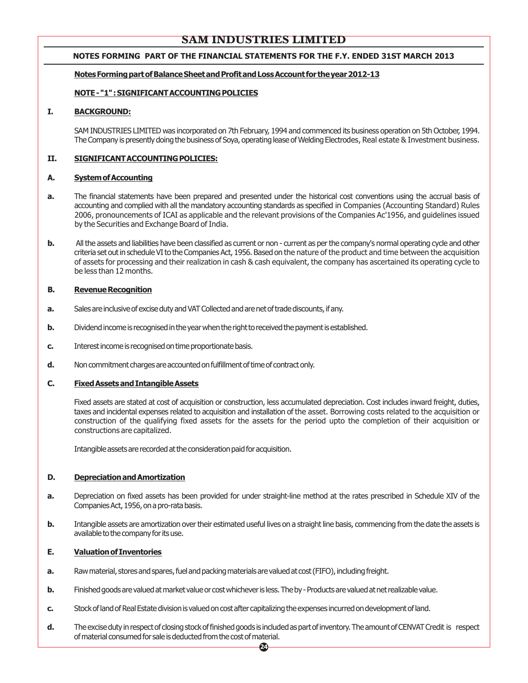#### **NOTES FORMING PART OF THE FINANCIAL STATEMENTS FOR THE F.Y. ENDED 31ST MARCH 2013**

#### **NotesFormingpartofBalanceSheetandProfitandLossAccount for theyear2012-13**

#### **NOTE-"1":SIGNIFICANTACCOUNTINGPOLICIES**

#### **I. BACKGROUND:**

SAM INDUSTRIES LIMITED was incorporated on 7th February, 1994 and commenced its business operation on 5th October, 1994. The Company is presently doing the business of Soya, operating lease of Welding Electrodes, Real estate & Investment business.

#### **II. SIGNIFICANTACCOUNTINGPOLICIES:**

#### **A. SystemofAccounting**

- **a.** The financial statements have been prepared and presented under the historical cost conventions using the accrual basis of accounting and complied with all the mandatory accounting standards as specified in Companies (Accounting Standard) Rules 2006, pronouncements of ICAI as applicable and the relevant provisions of the Companies Ac'1956, and guidelines issued by the Securities and Exchange Board of India.
- **b.** All the assets and liabilities have been classified as current or non current as per the company's normal operating cycle and other criteria set out in schedule VI to the Companies Act, 1956. Based on the nature of the product and time between the acquisition of assets for processing and their realization in cash & cash equivalent, the company has ascertained its operating cycle to be less than 12 months.

#### **B.** Revenue Recognition

- **a.** Sales are inclusive of excise duty and VAT Collected and are net of trade discounts, if any.
- **b.** Dividendincome is recognised in the year when the right to received the payment is established.
- **c.** Interest income is recognised on time proportionate basis.
- **d.** Non commitment charges are accounted on fulfillment of time of contract only.

#### **C. FixedAssetsandIntangibleAssets**

Fixed assets are stated at cost of acquisition or construction, less accumulated depreciation. Cost includes inward freight, duties, taxes and incidental expenses related to acquisition and installation of the asset. Borrowing costs related to the acquisition or construction of the qualifying fixed assets for the assets for the period upto the completion of their acquisition or constructions are capitalized.

Intangible assets are recorded at the consideration paid for acquisition.

#### **D. DepreciationandAmortization**

- **a.** Depreciation on fixed assets has been provided for under straight-line method at the rates prescribed in Schedule XIV of the Companies Act, 1956, on a pro-rata basis.
- **b.** Intangible assets are amortization over their estimated useful lives on a straight line basis, commencing from the date the assets is available to the company for its use.

#### **E. ValuationofInventories**

- **a.** Raw material, stores and spares, fuel and packing materials are valued at cost (FIFO), including freight.
- **b.** Finished goods are valued at market value or cost whichever is less. The by Products are valued at net realizable value.
- **c.** Stock of land of Real Estate division is valued on cost after capitalizing the expenses incurred on development of land.
- **d.** The excise duty in respect of closing stock of finished goods is included as part of inventory. The amount of CENVAT Credit is respect of material consumed for sale is deducted from the cost of material.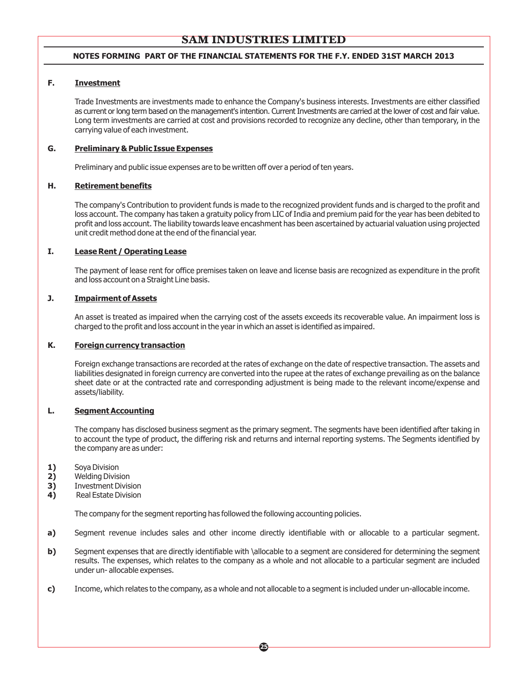#### **NOTES FORMING PART OF THE FINANCIAL STATEMENTS FOR THE F.Y. ENDED 31ST MARCH 2013**

#### **F. Investment**

Trade Investments are investments made to enhance the Company's business interests. Investments are either classified as current or long term based on the management's intention. Current Investments are carried at the lower of cost and fair value. Long term investments are carried at cost and provisions recorded to recognize any decline, other than temporary, in the carrying value of each investment.

#### **G. Preliminary & Public Issue Expenses**

Preliminary and public issue expenses are to be written off over a period of ten years.

#### **H. Retirement benefits**

The company's Contribution to provident funds is made to the recognized provident funds and is charged to the profit and loss account. The company has taken a gratuity policy from LIC of India and premium paid for the year has been debited to profit and loss account. The liability towards leave encashment has been ascertained by actuarial valuation using projected unit credit method done at the end of the financial year.

#### **I. Lease Rent / Operating Lease**

The payment of lease rent for office premises taken on leave and license basis are recognized as expenditure in the profit and loss account on a Straight Line basis.

#### **J. Impairment of Assets**

An asset is treated as impaired when the carrying cost of the assets exceeds its recoverable value. An impairment loss is charged to the profit and loss account in the year in which an asset is identified as impaired.

#### **K. Foreign currency transaction**

Foreign exchange transactions are recorded at the rates of exchange on the date of respective transaction. The assets and liabilities designated in foreign currency are converted into the rupee at the rates of exchange prevailing as on the balance sheet date or at the contracted rate and corresponding adjustment is being made to the relevant income/expense and assets/liability.

#### **L. Segment Accounting**

The company has disclosed business segment as the primary segment. The segments have been identified after taking in to account the type of product, the differing risk and returns and internal reporting systems. The Segments identified by the company are as under:

- **1)** Soya Division
- **2)** Welding Division
- **3)** Investment Division<br>**4)** Real Estate Division
- **4)** Real Estate Division

The company for the segment reporting has followed the following accounting policies.

**a)** Segment revenue includes sales and other income directly identifiable with or allocable to a particular segment.

- **b)** Segment expenses that are directly identifiable with \allocable to a segment are considered for determining the segment results. The expenses, which relates to the company as a whole and not allocable to a particular segment are included under un- allocable expenses.
- **c)** Income, which relates to the company, as a whole and not allocable to a segment is included under un-allocable income.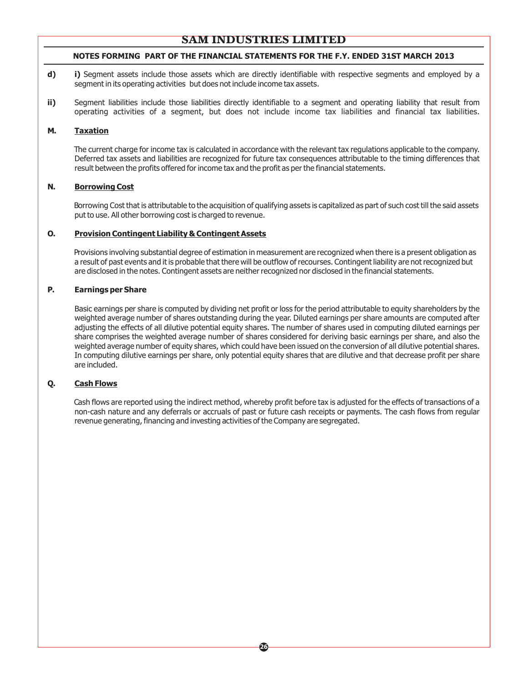#### **NOTES FORMING PART OF THE FINANCIAL STATEMENTS FOR THE F.Y. ENDED 31ST MARCH 2013**

- **d) i)** Segment assets include those assets which are directly identifiable with respective segments and employed by a segment in its operating activities but does not include income tax assets.
- **ii)** Segment liabilities include those liabilities directly identifiable to a segment and operating liability that result from operating activities of a segment, but does not include income tax liabilities and financial tax liabilities.

#### **M. Taxation**

The current charge for income tax is calculated in accordance with the relevant tax regulations applicable to the company. Deferred tax assets and liabilities are recognized for future tax consequences attributable to the timing differences that result between the profits offered for income tax and the profit as per the financial statements.

#### **N. Borrowing Cost**

Borrowing Cost that is attributable to the acquisition of qualifying assets is capitalized as part of such cost till the said assets put to use. All other borrowing cost is charged to revenue.

#### **O. Provision Contingent Liability & Contingent Assets**

Provisions involving substantial degree of estimation in measurement are recognized when there is a present obligation as a result of past events and it is probable that there will be outflow of recourses. Contingent liability are not recognized but are disclosed in the notes. Contingent assets are neither recognized nor disclosed in the financial statements.

#### **P. Earnings per Share**

Basic earnings per share is computed by dividing net profit or loss for the period attributable to equity shareholders by the weighted average number of shares outstanding during the year. Diluted earnings per share amounts are computed after adjusting the effects of all dilutive potential equity shares. The number of shares used in computing diluted earnings per share comprises the weighted average number of shares considered for deriving basic earnings per share, and also the weighted average number of equity shares, which could have been issued on the conversion of all dilutive potential shares. In computing dilutive earnings per share, only potential equity shares that are dilutive and that decrease profit per share are included.

#### **Q. Cash Flows**

Cash flows are reported using the indirect method, whereby profit before tax is adjusted for the effects of transactions of a non-cash nature and any deferrals or accruals of past or future cash receipts or payments. The cash flows from regular revenue generating, financing and investing activities of the Company are segregated.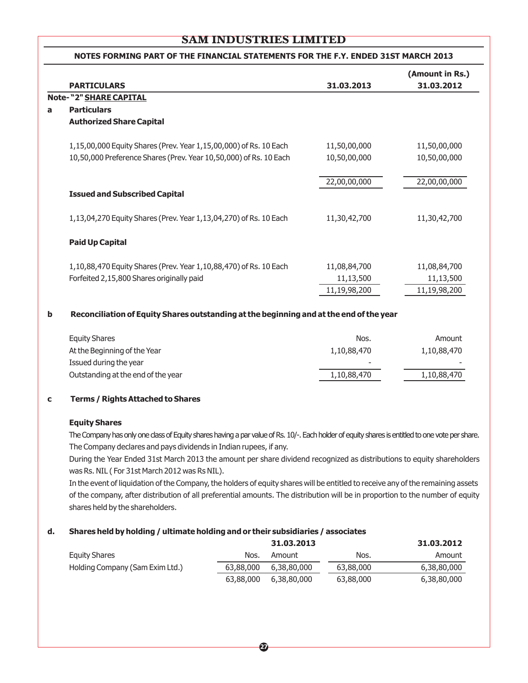|   | NOTES FORMING PART OF THE FINANCIAL STATEMENTS FOR THE F.Y. ENDED 31ST MARCH 2013 |              |                               |  |
|---|-----------------------------------------------------------------------------------|--------------|-------------------------------|--|
|   | <b>PARTICULARS</b>                                                                | 31,03,2013   | (Amount in Rs.)<br>31.03.2012 |  |
|   | Note-"2" SHARE CAPITAL                                                            |              |                               |  |
| a | <b>Particulars</b>                                                                |              |                               |  |
|   | <b>Authorized Share Capital</b>                                                   |              |                               |  |
|   | 1,15,00,000 Equity Shares (Prev. Year 1,15,00,000) of Rs. 10 Each                 | 11,50,00,000 | 11,50,00,000                  |  |
|   | 10,50,000 Preference Shares (Prev. Year 10,50,000) of Rs. 10 Each                 | 10,50,00,000 | 10,50,00,000                  |  |
|   |                                                                                   | 22,00,00,000 | 22,00,00,000                  |  |
|   | <b>Issued and Subscribed Capital</b>                                              |              |                               |  |
|   | 1,13,04,270 Equity Shares (Prev. Year 1,13,04,270) of Rs. 10 Each                 | 11,30,42,700 | 11,30,42,700                  |  |
|   | <b>Paid Up Capital</b>                                                            |              |                               |  |
|   | 1,10,88,470 Equity Shares (Prev. Year 1,10,88,470) of Rs. 10 Each                 | 11,08,84,700 | 11,08,84,700                  |  |
|   | Forfeited 2,15,800 Shares originally paid                                         | 11,13,500    | 11,13,500                     |  |
|   |                                                                                   | 11,19,98,200 | 11,19,98,200                  |  |

#### **b Reconciliation of Equity Shares outstanding at the beginning and at the end of the year**

| <b>Equity Shares</b>               | Nos.                     | Amount      |
|------------------------------------|--------------------------|-------------|
| At the Beginning of the Year       | 1,10,88,470              | 1,10,88,470 |
| Issued during the year             | $\overline{\phantom{0}}$ |             |
| Outstanding at the end of the year | 1,10,88,470              | 1,10,88,470 |

#### **c Terms / Rights Attached to Shares**

#### **Equity Shares**

The Company has only one class of Equity shares having a par value of Rs. 10/-. Each holder of equity shares is entitled to one vote per share. The Company declares and pays dividends in Indian rupees, if any.

During the Year Ended 31st March 2013 the amount per share dividend recognized as distributions to equity shareholders was Rs. NIL ( For 31st March 2012 was Rs NIL).

In the event of liquidation of the Company, the holders of equity shares will be entitled to receive any of the remaining assets of the company, after distribution of all preferential amounts. The distribution will be in proportion to the number of equity shares held by the shareholders.

#### **d. Shares held by holding / ultimate holding and or their subsidiaries / associates**

|                                 |           | 31.03.2013  |           | 31.03.2012  |
|---------------------------------|-----------|-------------|-----------|-------------|
| Equity Shares                   | Nos.      | Amount      | Nos.      | Amount      |
| Holding Company (Sam Exim Ltd.) | 63,88,000 | 6,38,80,000 | 63,88,000 | 6,38,80,000 |
|                                 | 63,88,000 | 6,38,80,000 | 63,88,000 | 6,38,80,000 |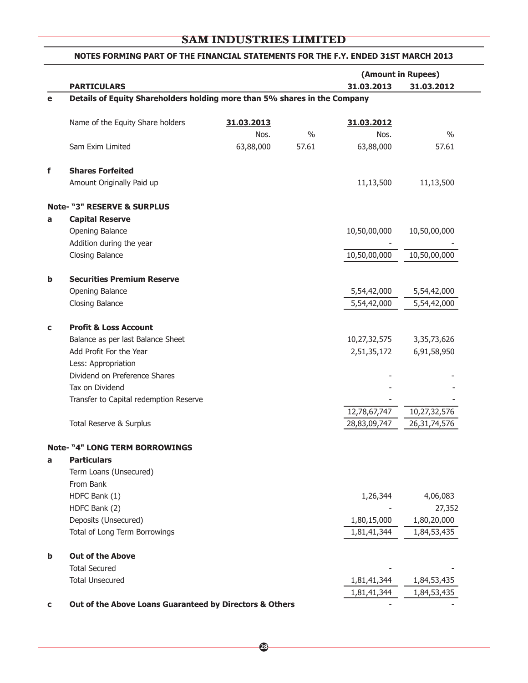|             |                                                                           |            |               |              | (Amount in Rupees) |
|-------------|---------------------------------------------------------------------------|------------|---------------|--------------|--------------------|
|             | <b>PARTICULARS</b>                                                        |            |               | 31.03.2013   | 31.03.2012         |
| e           | Details of Equity Shareholders holding more than 5% shares in the Company |            |               |              |                    |
|             | Name of the Equity Share holders                                          | 31.03.2013 |               | 31.03.2012   |                    |
|             |                                                                           | Nos.       | $\frac{0}{0}$ | Nos.         | $\frac{0}{0}$      |
|             | Sam Exim Limited                                                          | 63,88,000  | 57.61         | 63,88,000    | 57.61              |
| f           | <b>Shares Forfeited</b>                                                   |            |               |              |                    |
|             | Amount Originally Paid up                                                 |            |               | 11,13,500    | 11,13,500          |
|             | <b>Note- "3" RESERVE &amp; SURPLUS</b>                                    |            |               |              |                    |
| a           | <b>Capital Reserve</b>                                                    |            |               |              |                    |
|             | Opening Balance                                                           |            |               | 10,50,00,000 | 10,50,00,000       |
|             | Addition during the year                                                  |            |               |              |                    |
|             | Closing Balance                                                           |            |               | 10,50,00,000 | 10,50,00,000       |
| b           | <b>Securities Premium Reserve</b>                                         |            |               |              |                    |
|             | Opening Balance                                                           |            |               | 5,54,42,000  | 5,54,42,000        |
|             | Closing Balance                                                           |            |               | 5,54,42,000  | 5,54,42,000        |
| $\mathbf c$ | <b>Profit &amp; Loss Account</b>                                          |            |               |              |                    |
|             | Balance as per last Balance Sheet                                         |            |               | 10,27,32,575 | 3, 35, 73, 626     |
|             | Add Profit For the Year                                                   |            |               | 2,51,35,172  | 6,91,58,950        |
|             | Less: Appropriation                                                       |            |               |              |                    |
|             | Dividend on Preference Shares                                             |            |               |              |                    |
|             | Tax on Dividend                                                           |            |               |              |                    |
|             | Transfer to Capital redemption Reserve                                    |            |               |              |                    |
|             |                                                                           |            |               | 12,78,67,747 | 10,27,32,576       |
|             | Total Reserve & Surplus                                                   |            |               | 28,83,09,747 | 26, 31, 74, 576    |
|             | <b>Note- "4" LONG TERM BORROWINGS</b>                                     |            |               |              |                    |
| a           | <b>Particulars</b>                                                        |            |               |              |                    |
|             | Term Loans (Unsecured)                                                    |            |               |              |                    |
|             | From Bank                                                                 |            |               |              |                    |
|             | HDFC Bank (1)                                                             |            |               | 1,26,344     | 4,06,083           |
|             | HDFC Bank (2)                                                             |            |               |              | 27,352             |
|             | Deposits (Unsecured)                                                      |            |               | 1,80,15,000  | 1,80,20,000        |
|             | Total of Long Term Borrowings                                             |            |               | 1,81,41,344  | 1,84,53,435        |
| b           | <b>Out of the Above</b>                                                   |            |               |              |                    |
|             | <b>Total Secured</b>                                                      |            |               |              |                    |
|             | <b>Total Unsecured</b>                                                    |            |               | 1,81,41,344  | 1,84,53,435        |
|             |                                                                           |            |               | 1,81,41,344  | 1,84,53,435        |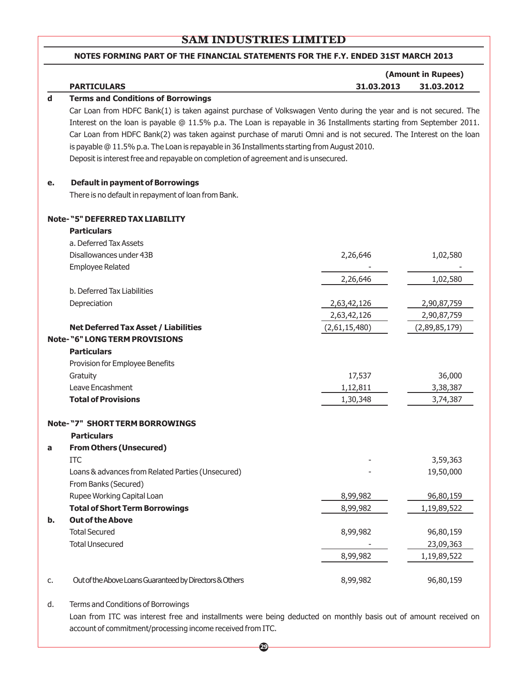#### **NOTES FORMING PART OF THE FINANCIAL STATEMENTS FOR THE F.Y. ENDED 31ST MARCH 2013**

|    |                                                                                                                     |               | (Amount in Rupees) |
|----|---------------------------------------------------------------------------------------------------------------------|---------------|--------------------|
|    | <b>PARTICULARS</b>                                                                                                  | 31.03.2013    | 31.03.2012         |
| d  | <b>Terms and Conditions of Borrowings</b>                                                                           |               |                    |
|    | Car Loan from HDFC Bank(1) is taken against purchase of Volkswagen Vento during the year and is not secured. The    |               |                    |
|    | Interest on the loan is payable @ 11.5% p.a. The Loan is repayable in 36 Installments starting from September 2011. |               |                    |
|    | Car Loan from HDFC Bank(2) was taken against purchase of maruti Omni and is not secured. The Interest on the loan   |               |                    |
|    | is payable @ 11.5% p.a. The Loan is repayable in 36 Installments starting from August 2010.                         |               |                    |
|    | Deposit is interest free and repayable on completion of agreement and is unsecured.                                 |               |                    |
| е. | <b>Default in payment of Borrowings</b>                                                                             |               |                    |
|    | There is no default in repayment of loan from Bank.                                                                 |               |                    |
|    | Note-"5" DEFERRED TAX LIABILITY                                                                                     |               |                    |
|    | <b>Particulars</b>                                                                                                  |               |                    |
|    | a. Deferred Tax Assets                                                                                              |               |                    |
|    | Disallowances under 43B                                                                                             | 2,26,646      | 1,02,580           |
|    | <b>Employee Related</b>                                                                                             |               |                    |
|    |                                                                                                                     | 2,26,646      | 1,02,580           |
|    | b. Deferred Tax Liabilities                                                                                         |               |                    |
|    | Depreciation                                                                                                        | 2,63,42,126   | 2,90,87,759        |
|    |                                                                                                                     | 2,63,42,126   | 2,90,87,759        |
|    | <b>Net Deferred Tax Asset / Liabilities</b>                                                                         | (2,61,15,480) | (2,89,85,179)      |
|    | <b>Note- "6" LONG TERM PROVISIONS</b>                                                                               |               |                    |
|    | <b>Particulars</b>                                                                                                  |               |                    |
|    | Provision for Employee Benefits                                                                                     |               |                    |
|    | Gratuity                                                                                                            | 17,537        | 36,000             |
|    | Leave Encashment                                                                                                    | 1,12,811      | 3,38,387           |
|    | <b>Total of Provisions</b>                                                                                          | 1,30,348      | 3,74,387           |
|    | <b>Note- "7" SHORT TERM BORROWINGS</b>                                                                              |               |                    |
|    | <b>Particulars</b>                                                                                                  |               |                    |
| а  | <b>From Others (Unsecured)</b>                                                                                      |               |                    |
|    | <b>ITC</b>                                                                                                          |               | 3,59,363           |
|    | Loans & advances from Related Parties (Unsecured)                                                                   |               | 19,50,000          |
|    | From Banks (Secured)                                                                                                |               |                    |
|    | Rupee Working Capital Loan                                                                                          | 8,99,982      | 96,80,159          |
|    | <b>Total of Short Term Borrowings</b>                                                                               | 8,99,982      | 1,19,89,522        |
| b. | <b>Out of the Above</b>                                                                                             |               |                    |
|    | <b>Total Secured</b>                                                                                                | 8,99,982      | 96,80,159          |
|    | <b>Total Unsecured</b>                                                                                              |               | 23,09,363          |
|    |                                                                                                                     | 8,99,982      | 1,19,89,522        |
| c. | Out of the Above Loans Guaranteed by Directors & Others                                                             | 8,99,982      | 96,80,159          |

d. Terms and Conditions of Borrowings

Loan from ITC was interest free and installments were being deducted on monthly basis out of amount received on account of commitment/processing income received from ITC.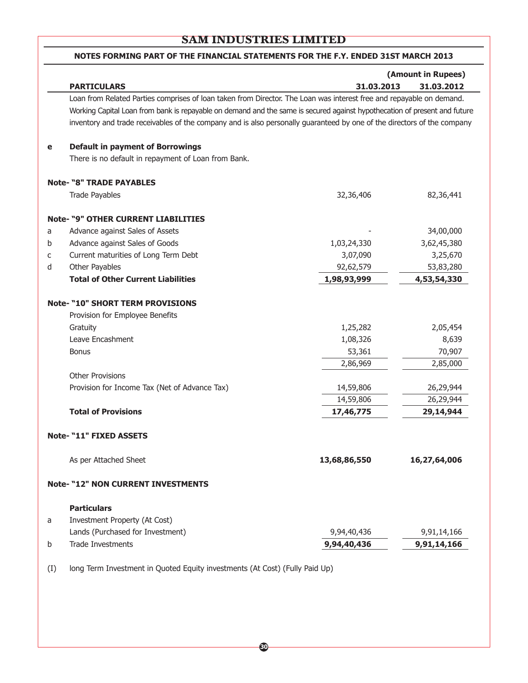|   | (Amount in Rupees)                                                                                                        |              |              |  |  |
|---|---------------------------------------------------------------------------------------------------------------------------|--------------|--------------|--|--|
|   | <b>PARTICULARS</b>                                                                                                        | 31.03.2013   | 31.03.2012   |  |  |
|   | Loan from Related Parties comprises of loan taken from Director. The Loan was interest free and repayable on demand.      |              |              |  |  |
|   | Working Capital Loan from bank is repayable on demand and the same is secured against hypothecation of present and future |              |              |  |  |
|   | inventory and trade receivables of the company and is also personally guaranteed by one of the directors of the company   |              |              |  |  |
|   |                                                                                                                           |              |              |  |  |
| e | <b>Default in payment of Borrowings</b>                                                                                   |              |              |  |  |
|   | There is no default in repayment of Loan from Bank.                                                                       |              |              |  |  |
|   | <b>Note- "8" TRADE PAYABLES</b>                                                                                           |              |              |  |  |
|   | <b>Trade Payables</b>                                                                                                     | 32,36,406    | 82,36,441    |  |  |
|   | <b>Note- "9" OTHER CURRENT LIABILITIES</b>                                                                                |              |              |  |  |
| a | Advance against Sales of Assets                                                                                           |              | 34,00,000    |  |  |
| b | Advance against Sales of Goods                                                                                            | 1,03,24,330  | 3,62,45,380  |  |  |
| с | Current maturities of Long Term Debt                                                                                      | 3,07,090     | 3,25,670     |  |  |
| d | Other Payables                                                                                                            | 92,62,579    | 53,83,280    |  |  |
|   | <b>Total of Other Current Liabilities</b>                                                                                 | 1,98,93,999  | 4,53,54,330  |  |  |
|   | <b>Note- "10" SHORT TERM PROVISIONS</b>                                                                                   |              |              |  |  |
|   | Provision for Employee Benefits                                                                                           |              |              |  |  |
|   | Gratuity                                                                                                                  | 1,25,282     | 2,05,454     |  |  |
|   | Leave Encashment                                                                                                          | 1,08,326     | 8,639        |  |  |
|   | <b>Bonus</b>                                                                                                              | 53,361       | 70,907       |  |  |
|   |                                                                                                                           | 2,86,969     | 2,85,000     |  |  |
|   | <b>Other Provisions</b>                                                                                                   |              |              |  |  |
|   | Provision for Income Tax (Net of Advance Tax)                                                                             | 14,59,806    | 26,29,944    |  |  |
|   |                                                                                                                           | 14,59,806    | 26,29,944    |  |  |
|   | <b>Total of Provisions</b>                                                                                                | 17,46,775    | 29,14,944    |  |  |
|   | Note- "11" FIXED ASSETS                                                                                                   |              |              |  |  |
|   | As per Attached Sheet                                                                                                     | 13,68,86,550 | 16,27,64,006 |  |  |
|   | <b>Note- "12" NON CURRENT INVESTMENTS</b>                                                                                 |              |              |  |  |
|   | <b>Particulars</b>                                                                                                        |              |              |  |  |
| a | Investment Property (At Cost)                                                                                             |              |              |  |  |
|   | Lands (Purchased for Investment)                                                                                          | 9,94,40,436  | 9,91,14,166  |  |  |
|   | <b>Trade Investments</b>                                                                                                  | 9,94,40,436  | 9,91,14,166  |  |  |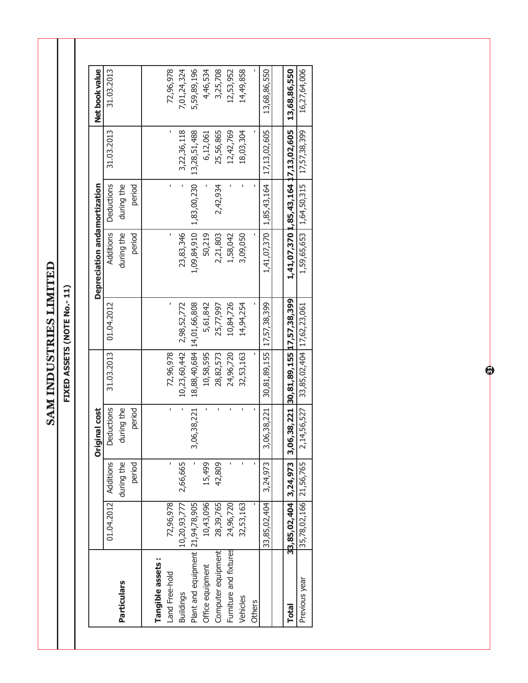**SAM INDUSTRIES LIMITED SAM INDUSTRIES LIMITED**

FIXED ASSETS (NOTE No.-11) **FIXED ASSETS (NOTE No.- 11)**

|                                  |                        |            | iginal cost<br>δ |                                     |              | Depreciation andamortization |             |                                      | Net book value |
|----------------------------------|------------------------|------------|------------------|-------------------------------------|--------------|------------------------------|-------------|--------------------------------------|----------------|
|                                  | 01.04.2012 Additions   |            | Deductions       | 31.03.2013                          | 01.04.2012   | Additions                    | Deductions  | 31.03.2013                           | 31.03.2013     |
| Particulars                      |                        | during the | during the       |                                     |              | during the                   | during the  |                                      |                |
|                                  |                        | period     | period           |                                     |              | period                       | period      |                                      |                |
| Tangible assets:                 |                        |            |                  |                                     |              |                              |             |                                      |                |
| Land Free-hold                   | 72,96,978              | ı          | ï                | 72,96,978                           |              | ı                            | ï           |                                      | 72,96,978      |
| <b>Buildings</b>                 | 10,20,93,777           | 2,66,665   | Ĭ.               | 10,23,60,442                        | 2,98,52,772  | 23,83,346                    |             | 3,22,36,118                          | 7,01,24,324    |
| Plant and equipment 21,94,78,905 |                        |            | 3,06,38,221      | 18,88,40,684                        | 14,01,66,808 | 1,09,84,910                  | 1,83,00,230 | 13,28,51,488                         | 5,59,89,196    |
| Office equipment                 | 10,43,096              | 15,499     |                  | 10,58,595                           | 5,61,842     | 50,219                       |             | 6,12,061                             | 4,46,534       |
| Computer equipment               | 28,39,765              | 42,809     |                  | 28,82,573                           | 25,77,997    | 2,21,803                     | 2,42,934    | 25,56,865                            | 3,25,708       |
| Furniture and fixtures           | 24,96,720              |            |                  | 24,96,720                           | 10,84,726    | 1,58,042                     |             | 12,42,769                            | 12,53,952      |
| Vehicles                         | 32,53,163              |            | í.               | 32,53,163                           | 14,94,254    | 3,09,050                     |             | 18,03,304                            | 14,49,858      |
| Others                           |                        |            |                  |                                     |              |                              |             |                                      |                |
|                                  | 33,85,02,404           | 3,24,973   | 3,06,38,221      | 30,81,89,155                        | 17,57,38,399 | 1,41,07,370                  | 1,85,43,164 | 17,13,02,605                         | 13,68,86,550   |
|                                  |                        |            |                  |                                     |              |                              |             |                                      |                |
| <b>Total</b>                     | 33,85,02,404 3,24,973  |            | <u>ო</u>         | 06,38,221 30,81,89,155 17,57,38,399 |              |                              |             | 1,41,07,370 1,85,43,164 17,13,02,605 | 13,68,86,550   |
| Previous year                    | 35,78,02,166 21,56,765 |            | 2,14,56,527      | 33,85,02,404 17,62,23,061           |              | 1,59,65,653                  | 1,64,50,315 | 17,57,38,399                         | 16,27,64,006   |

6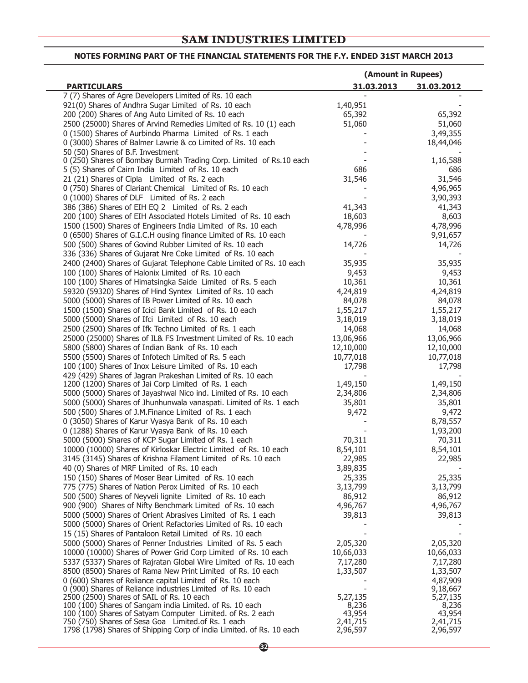#### **NOTES FORMING PART OF THE FINANCIAL STATEMENTS FOR THE F.Y. ENDED 31ST MARCH 2013**

|                                                                                                                                  | (Amount in Rupees) |                      |
|----------------------------------------------------------------------------------------------------------------------------------|--------------------|----------------------|
| <b>PARTICULARS</b>                                                                                                               | 31.03.2013         | 31.03.2012           |
| 7 (7) Shares of Agre Developers Limited of Rs. 10 each                                                                           |                    |                      |
| 921(0) Shares of Andhra Sugar Limited of Rs. 10 each                                                                             | 1,40,951           |                      |
| 200 (200) Shares of Ang Auto Limited of Rs. 10 each                                                                              | 65,392             | 65,392               |
| 2500 (25000) Shares of Arvind Remedies Limited of Rs. 10 (1) each                                                                | 51,060             | 51,060               |
| 0 (1500) Shares of Aurbindo Pharma Limited of Rs. 1 each                                                                         |                    | 3,49,355             |
| 0 (3000) Shares of Balmer Lawrie & co Limited of Rs. 10 each                                                                     |                    | 18,44,046            |
| 50 (50) Shares of B.F. Investment                                                                                                |                    |                      |
| 0 (250) Shares of Bombay Burmah Trading Corp. Limited of Rs.10 each                                                              |                    | 1,16,588             |
| 5 (5) Shares of Cairn India Limited of Rs. 10 each                                                                               | 686                | 686                  |
| 21 (21) Shares of Cipla Limited of Rs. 2 each                                                                                    | 31,546             | 31,546               |
| 0 (750) Shares of Clariant Chemical Limited of Rs. 10 each                                                                       |                    | 4,96,965             |
| 0 (1000) Shares of DLF Limited of Rs. 2 each                                                                                     |                    | 3,90,393             |
| 386 (386) Shares of EIH EQ 2 Limited of Rs. 2 each                                                                               | 41,343             | 41,343               |
| 200 (100) Shares of EIH Associated Hotels Limited of Rs. 10 each                                                                 | 18,603<br>4,78,996 | 8,603                |
| 1500 (1500) Shares of Engineers India Limited of Rs. 10 each<br>0 (6500) Shares of G.I.C.H ousing finance Limited of Rs. 10 each |                    | 4,78,996<br>9,91,657 |
| 500 (500) Shares of Govind Rubber Limited of Rs. 10 each                                                                         | 14,726             | 14,726               |
| 336 (336) Shares of Gujarat Nre Coke Limited of Rs. 10 each                                                                      |                    |                      |
| 2400 (2400) Shares of Gujarat Telephone Cable Limited of Rs. 10 each                                                             | 35,935             | 35,935               |
| 100 (100) Shares of Halonix Limited of Rs. 10 each                                                                               | 9,453              | 9,453                |
| 100 (100) Shares of Himatsingka Saide Limited of Rs. 5 each                                                                      | 10,361             | 10,361               |
| 59320 (59320) Shares of Hind Syntex Limited of Rs. 10 each                                                                       | 4,24,819           | 4,24,819             |
| 5000 (5000) Shares of IB Power Limited of Rs. 10 each                                                                            | 84,078             | 84,078               |
| 1500 (1500) Shares of Icici Bank Limited of Rs. 10 each                                                                          | 1,55,217           | 1,55,217             |
| 5000 (5000) Shares of Ifci Limited of Rs. 10 each                                                                                | 3,18,019           | 3,18,019             |
| 2500 (2500) Shares of Ifk Techno Limited of Rs. 1 each                                                                           | 14,068             | 14,068               |
| 25000 (25000) Shares of IL& FS Investment Limited of Rs. 10 each                                                                 | 13,06,966          | 13,06,966            |
| 5800 (5800) Shares of Indian Bank of Rs. 10 each                                                                                 | 12,10,000          | 12,10,000            |
| 5500 (5500) Shares of Infotech Limited of Rs. 5 each                                                                             | 10,77,018          | 10,77,018            |
| 100 (100) Shares of Inox Leisure Limited of Rs. 10 each                                                                          | 17,798             | 17,798               |
| 429 (429) Shares of Jagran Prakeshan Limited of Rs. 10 each                                                                      |                    |                      |
| 1200 (1200) Shares of Jai Corp Limited of Rs. 1 each                                                                             | 1,49,150           | 1,49,150             |
| 5000 (5000) Shares of Jayashwal Nico ind. Limited of Rs. 10 each                                                                 | 2,34,806           | 2,34,806             |
| 5000 (5000) Shares of Jhunhunwala vanaspati. Limited of Rs. 1 each                                                               | 35,801             | 35,801               |
| 500 (500) Shares of J.M.Finance Limited of Rs. 1 each                                                                            | 9,472              | 9,472                |
| 0 (3050) Shares of Karur Vyasya Bank of Rs. 10 each                                                                              |                    | 8,78,557             |
| 0 (1288) Shares of Karur Vyasya Bank of Rs. 10 each                                                                              |                    | 1,93,200             |
| 5000 (5000) Shares of KCP Sugar Limited of Rs. 1 each                                                                            | 70,311             | 70,311               |
| 10000 (10000) Shares of Kirloskar Electric Limited of Rs. 10 each                                                                | 8,54,101           | 8,54,101             |
| 3145 (3145) Shares of Krishna Filament Limited of Rs. 10 each                                                                    | 22,985             | 22,985               |
| 40 (0) Shares of MRF Limited of Rs. 10 each                                                                                      | 3,89,835           |                      |
| 150 (150) Shares of Moser Bear Limited of Rs. 10 each                                                                            | 25,335             | 25,335               |
| 775 (775) Shares of Nation Perox Limited of Rs. 10 each                                                                          | 3,13,799           | 3,13,799             |
| 500 (500) Shares of Neyveli lignite Limited of Rs. 10 each                                                                       | 86,912             | 86,912               |
| 900 (900) Shares of Nifty Benchmark Limited of Rs. 10 each                                                                       | 4,96,767           | 4,96,767             |
| 5000 (5000) Shares of Orient Abrasives Limited of Rs. 1 each                                                                     | 39,813             | 39,813               |
| 5000 (5000) Shares of Orient Refactories Limited of Rs. 10 each                                                                  |                    |                      |
| 15 (15) Shares of Pantaloon Retail Limited of Rs. 10 each                                                                        |                    |                      |
| 5000 (5000) Shares of Penner Industries Limited of Rs. 5 each                                                                    | 2,05,320           | 2,05,320             |
| 10000 (10000) Shares of Power Grid Corp Limited of Rs. 10 each                                                                   | 10,66,033          | 10,66,033            |
| 5337 (5337) Shares of Rajratan Global Wire Limited of Rs. 10 each                                                                | 7,17,280           | 7,17,280             |
| 8500 (8500) Shares of Rama New Print Limited of Rs. 10 each                                                                      | 1,33,507           | 1,33,507<br>4,87,909 |
| 0 (600) Shares of Reliance capital Limited of Rs. 10 each<br>0 (900) Shares of Reliance industries Limited of Rs. 10 each        |                    | 9,18,667             |
| 2500 (2500) Shares of SAIL of Rs. 10 each                                                                                        | 5,27,135           | 5,27,135             |
| 100 (100) Shares of Sangam india Limited. of Rs. 10 each                                                                         | 8,236              | 8,236                |
| 100 (100) Shares of Satyam Computer Limited. of Rs. 2 each                                                                       | 43,954             | 43,954               |
| 750 (750) Shares of Sesa Goa Limited of Rs. 1 each                                                                               | 2,41,715           | 2,41,715             |
| 1798 (1798) Shares of Shipping Corp of india Limited. of Rs. 10 each                                                             | 2,96,597           | 2,96,597             |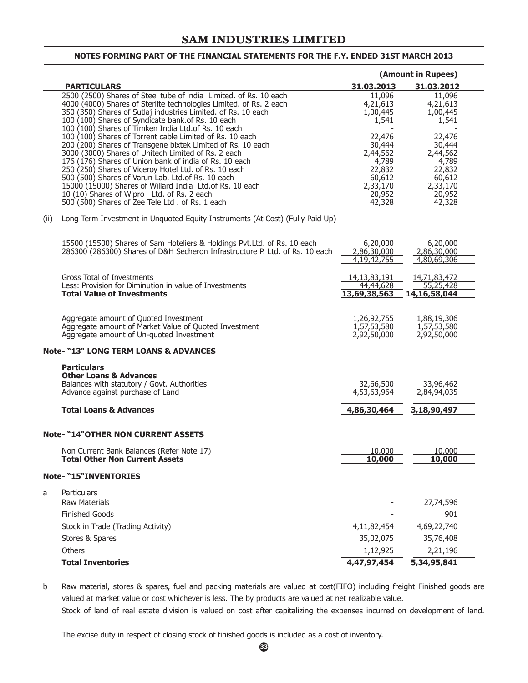|                                                                                                                                     |  |                           | (Amount in Rupees)           |
|-------------------------------------------------------------------------------------------------------------------------------------|--|---------------------------|------------------------------|
| <b>PARTICULARS</b>                                                                                                                  |  | 31.03.2013                | 31.03.2012                   |
| 2500 (2500) Shares of Steel tube of india Limited. of Rs. 10 each                                                                   |  | 11,096                    | 11,096                       |
| 4000 (4000) Shares of Sterlite technologies Limited. of Rs. 2 each<br>350 (350) Shares of Sutlaj industries Limited. of Rs. 10 each |  | 4,21,613                  | 4,21,613                     |
| 100 (100) Shares of Syndicate bank. of Rs. 10 each                                                                                  |  | 1,00,445<br>1,541         | 1,00,445<br>1,541            |
| 100 (100) Shares of Timken India Ltd. of Rs. 10 each                                                                                |  |                           |                              |
| 100 (100) Shares of Torrent cable Limited of Rs. 10 each                                                                            |  | 22,476                    | 22,476                       |
| 200 (200) Shares of Transgene bixtek Limited of Rs. 10 each<br>3000 (3000) Shares of Unitech Limited of Rs. 2 each                  |  | 30,444<br>2,44,562        | 30,444<br>2,44,562           |
| 176 (176) Shares of Union bank of india of Rs. 10 each                                                                              |  | 4,789                     | 4,789                        |
| 250 (250) Shares of Viceroy Hotel Ltd. of Rs. 10 each                                                                               |  | 22,832                    | 22,832                       |
| 500 (500) Shares of Varun Lab. Ltd.of Rs. 10 each<br>15000 (15000) Shares of Willard India Ltd. of Rs. 10 each                      |  | 60,612<br>2,33,170        | 60,612<br>2,33,170           |
| 10 (10) Shares of Wipro Ltd. of Rs. 2 each                                                                                          |  | 20,952                    | 20,952                       |
| 500 (500) Shares of Zee Tele Ltd. of Rs. 1 each                                                                                     |  | 42,328                    | 42,328                       |
| Long Term Investment in Unquoted Equity Instruments (At Cost) (Fully Paid Up)<br>(ii)                                               |  |                           |                              |
| 15500 (15500) Shares of Sam Hoteliers & Holdings Pvt.Ltd. of Rs. 10 each                                                            |  | 6,20,000                  | 6,20,000                     |
| 286300 (286300) Shares of D&H Secheron Infrastructure P. Ltd. of Rs. 10 each                                                        |  | 2,86,30,000               | 2,86,30,000                  |
|                                                                                                                                     |  | 4,19,42,755               | 4,80,69,306                  |
| Gross Total of Investments                                                                                                          |  | 14, 13, 83, 191           | 14,71,83,472                 |
| Less: Provision for Diminution in value of Investments<br><b>Total Value of Investments</b>                                         |  | 44,44,628<br>13,69,38,563 | 55,25,428<br>14, 16, 58, 044 |
|                                                                                                                                     |  |                           |                              |
| Aggregate amount of Quoted Investment                                                                                               |  | 1,26,92,755               | 1,88,19,306                  |
| Aggregate amount of Market Value of Quoted Investment                                                                               |  | 1,57,53,580               | 1,57,53,580                  |
| Aggregate amount of Un-quoted Investment                                                                                            |  | 2,92,50,000               | 2,92,50,000                  |
| <b>Note- "13" LONG TERM LOANS &amp; ADVANCES</b>                                                                                    |  |                           |                              |
| <b>Particulars</b><br><b>Other Loans &amp; Advances</b>                                                                             |  |                           |                              |
| Balances with statutory / Govt. Authorities                                                                                         |  | 32,66,500                 | 33,96,462                    |
| Advance against purchase of Land                                                                                                    |  | 4,53,63,964               | 2,84,94,035                  |
| <b>Total Loans &amp; Advances</b>                                                                                                   |  | 4,86,30,464               | 3,18,90,497                  |
| <b>Note- "14" OTHER NON CURRENT ASSETS</b>                                                                                          |  |                           |                              |
| Non Current Bank Balances (Refer Note 17)                                                                                           |  | 10,000                    | 10,000                       |
| <b>Total Other Non Current Assets</b>                                                                                               |  | 10,000                    | 10,000                       |
| <b>Note- "15"INVENTORIES</b>                                                                                                        |  |                           |                              |
| Particulars<br>a<br><b>Raw Materials</b>                                                                                            |  |                           | 27,74,596                    |
|                                                                                                                                     |  |                           |                              |
|                                                                                                                                     |  |                           |                              |
| <b>Finished Goods</b>                                                                                                               |  |                           | 901                          |
| Stock in Trade (Trading Activity)                                                                                                   |  | 4,11,82,454               | 4,69,22,740                  |
| Stores & Spares<br>Others                                                                                                           |  | 35,02,075<br>1,12,925     | 35,76,408<br>2,21,196        |

b Raw material, stores & spares, fuel and packing materials are valued at cost(FIFO) including freight Finished goods are valued at market value or cost whichever is less. The by products are valued at net realizable value. Stock of land of real estate division is valued on cost after capitalizing the expenses incurred on development of land.

The excise duty in respect of closing stock of finished goods is included as a cost of inventory.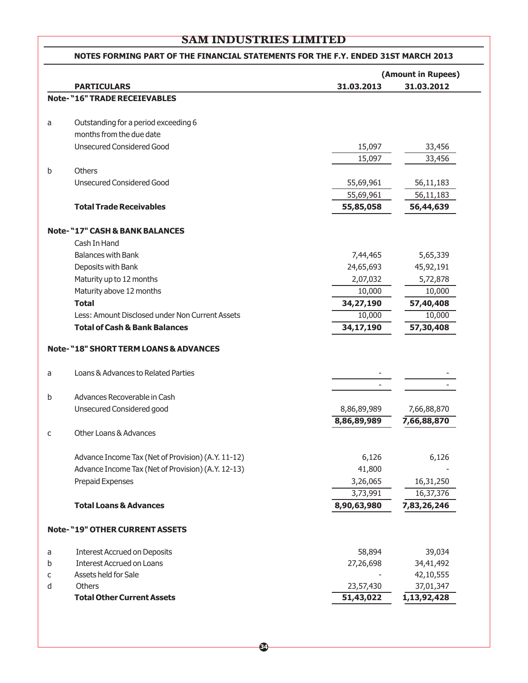## **(Amount in Rupees) PARTICULARS 31.03.2013 31.03.2012 Note- "16" TRADE RECEIEVABLES** a Outstanding for a period exceeding 6 months from the due date Unsecured Considered Good 15,097 33,456 15,097 33,456 b Others Unsecured Considered Good 55,69,961 56,11,183 55,69,961 56,11,183 **Total Trade Receivables 55,85,058 56,44,639 Note- "17" CASH & BANK BALANCES** Cash In Hand Balances with Bank 7,44,465 5,65,339 Deposits with Bank 24,65,693 45,92,191 Maturity up to 12 months 2,07,032 5,72,878 Maturity above 12 months 10,000 10,000 10,000 10,000 10,000 10,000 10,000 10,000 10,000 10,000 10,000 10,000 10 **Total 34,27,190 57,40,408** Less: Amount Disclosed under Non Current Assets 10,000 10,000 10,000 **Total of Cash & Bank Balances 34,17,190 57,30,408 Note- "18" SHORT TERM LOANS & ADVANCES** a Loans & Advances to Related Parties - b Advances Recoverable in Cash Unsecured Considered good 8,86,89,989 7,66,88,870 **8,86,89,989 7,66,88,870** c Other Loans & Advances Advance Income Tax (Net of Provision) (A.Y. 11-12) 6,126 6,126 6,126 Advance Income Tax (Net of Provision) (A.Y. 12-13) 41,800 Prepaid Expenses 2,26,065 16,31,250 3,73,991 16,37,376 **Total Loans & Advances 8,90,63,980 7,83,26,246 Note- "19" OTHER CURRENT ASSETS** a Interest Accrued on Deposits 58,894 39,034 b Interest Accrued on Loans 27,26,698 34,41,492 c Assets held for Sale  $\overline{a}$  42,10,555 d Others 23,57,430 37,01,347 **Total Other Current Assets 51,43,022 1,13,92,428 NOTES FORMING PART OF THE FINANCIAL STATEMENTS FOR THE F.Y. ENDED 31ST MARCH 2013**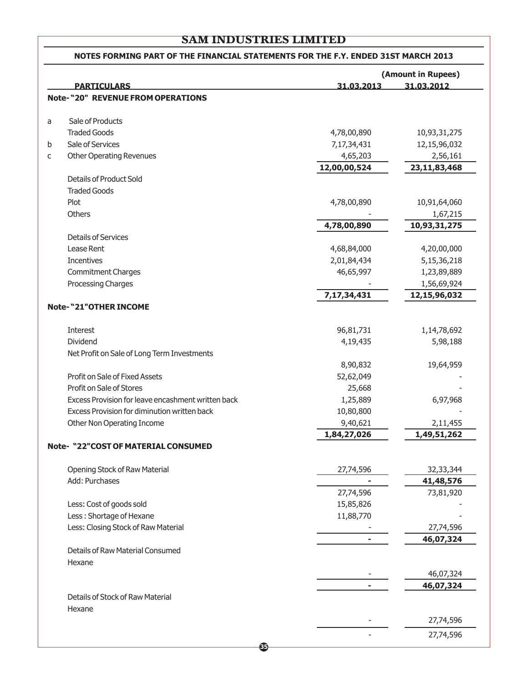## **(Amount in Rupees) PARTICULARS 31.03.2013 31.03.2012 Note- "20" REVENUE FROM OPERATIONS** a Sale of Products Traded Goods 10,93,31,275 b Sale of Services 7,17,34,431 12,15,96,032 c Other Operating Revenues and the control of the control of the control of the control of the control of the control of the control of the control of the control of the control of the control of the control of the control **12,00,00,524 23,11,83,468** Details of Product Sold Traded Goods Plot 10,91,64,060 10,91,64,060 10,91,64,060 10,91,64,060 10,91,64,060 10,91,64,060 Others - 1,67,215 **4,78,00,890 10,93,31,275** Details of Services Lease Rent 4,68,84,000 4,20,00,000 Incentives 2,01,84,434 5,15,36,218 Commitment Charges 2012 1,23,89,889 1,23,89,889 Processing Charges **and School School School School School School School School School School School School School School School School School School School School School School School School School School School School Sc 7,17,34,431 12,15,96,032 Note- "21"OTHER INCOME** Interest 96,81,731 1,14,78,692 Dividend 4,19,435 5,98,188 Net Profit on Sale of Long Term Investments 8,90,832 19,64,959 Profit on Sale of Fixed Assets 52,62,049 Profit on Sale of Stores 25,668 Excess Provision for leave encashment written back 1,25,889 6,97,968 Excess Provision for diminution written back 10,80,800 - 10,80,800 Other Non Operating Income 2,11,455 **1,84,27,026 1,49,51,262 Note- "22"COST OF MATERIAL CONSUMED** Opening Stock of Raw Material 27,74,596 32,33,344 Add: Purchases **- 41,48,576** 27,74,596 73,81,920 Less: Cost of goods sold 15,85,826 - 15,85,826 - 15,85,826 - 15,85,826 - 15,85,826 - 15,85,826 - 15,85,826 - 15,85,826 - 15,85,826 - 15,85,826 - 15,85,826 - 15,85,826 - 15,85,826 - 15,85,826 - 15,85,826 - 15,85,826 - 15,85 Less : Shortage of Hexane 11,88,770 Less: Closing Stock of Raw Material  $27,74,596$ **- 46,07,324** Details of Raw Material Consumed Hexane - 46,07,324 **- 46,07,324** Details of Stock of Raw Material Hexane - 27,74,596 - 27,74,596 **NOTES FORMING PART OF THE FINANCIAL STATEMENTS FOR THE F.Y. ENDED 31ST MARCH 2013**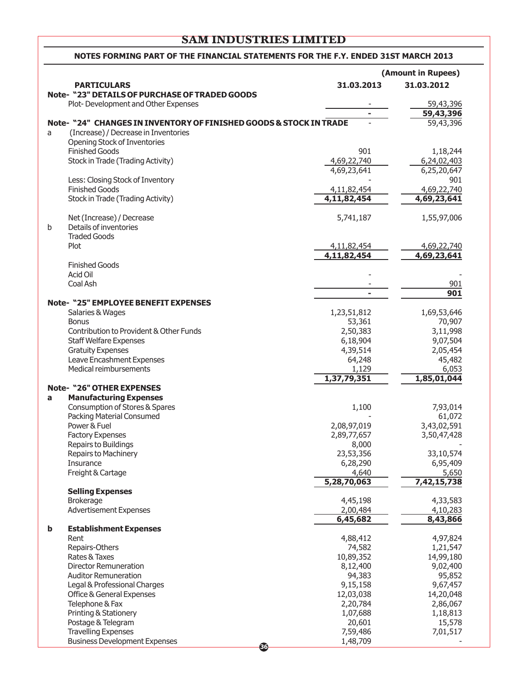#### **NOTES FORMING PART OF THE FINANCIAL STATEMENTS FOR THE F.Y. ENDED 31ST MARCH 2013**

|             |                                                                    |             | (Amount in Rupees) |
|-------------|--------------------------------------------------------------------|-------------|--------------------|
|             | <b>PARTICULARS</b>                                                 | 31.03.2013  | 31.03.2012         |
|             | <b>Note- "23" DETAILS OF PURCHASE OF TRADED GOODS</b>              |             |                    |
|             | Plot-Development and Other Expenses                                |             | 59,43,396          |
|             |                                                                    |             | 59,43,396          |
|             | Note- "24" CHANGES IN INVENTORY OF FINISHED GOODS & STOCK IN TRADE |             | 59,43,396          |
| a           | (Increase) / Decrease in Inventories                               |             |                    |
|             | Opening Stock of Inventories                                       |             |                    |
|             | <b>Finished Goods</b>                                              | 901         | 1,18,244           |
|             | Stock in Trade (Trading Activity)                                  | 4,69,22,740 | 6,24,02,403        |
|             |                                                                    | 4,69,23,641 | 6,25,20,647        |
|             | Less: Closing Stock of Inventory                                   |             | 901                |
|             | <b>Finished Goods</b>                                              | 4,11,82,454 | 4,69,22,740        |
|             | Stock in Trade (Trading Activity)                                  | 4,11,82,454 | 4,69,23,641        |
|             |                                                                    |             |                    |
|             | Net (Increase) / Decrease                                          | 5,741,187   | 1,55,97,006        |
| $\mathbf b$ | Details of inventories                                             |             |                    |
|             | <b>Traded Goods</b>                                                |             |                    |
|             | Plot                                                               | 4,11,82,454 | 4,69,22,740        |
|             |                                                                    | 4,11,82,454 | 4,69,23,641        |
|             | <b>Finished Goods</b>                                              |             |                    |
|             | Acid Oil                                                           |             |                    |
|             | Coal Ash                                                           |             | 901                |
|             |                                                                    |             | 901                |
|             | <b>Note- "25" EMPLOYEE BENEFIT EXPENSES</b>                        |             |                    |
|             | Salaries & Wages                                                   | 1,23,51,812 | 1,69,53,646        |
|             | <b>Bonus</b>                                                       | 53,361      | 70,907             |
|             | Contribution to Provident & Other Funds                            | 2,50,383    | 3,11,998           |
|             | <b>Staff Welfare Expenses</b>                                      | 6,18,904    | 9,07,504           |
|             | <b>Gratuity Expenses</b>                                           | 4,39,514    | 2,05,454           |
|             | Leave Encashment Expenses                                          | 64,248      | 45,482             |
|             | Medical reimbursements                                             | 1,129       | 6,053              |
|             |                                                                    | 1,37,79,351 | 1,85,01,044        |
|             | <b>Note- "26" OTHER EXPENSES</b>                                   |             |                    |
| a           | <b>Manufacturing Expenses</b>                                      |             |                    |
|             | Consumption of Stores & Spares                                     | 1,100       | 7,93,014           |
|             | <b>Packing Material Consumed</b>                                   |             | 61,072             |
|             | Power & Fuel                                                       | 2,08,97,019 | 3,43,02,591        |
|             | <b>Factory Expenses</b>                                            | 2,89,77,657 | 3,50,47,428        |
|             | Repairs to Buildings                                               | 8,000       |                    |
|             | Repairs to Machinery                                               | 23,53,356   | 33,10,574          |
|             | Insurance                                                          | 6,28,290    | 6,95,409           |
|             | Freight & Cartage                                                  | 4,640       | 5,650              |
|             |                                                                    | 5,28,70,063 | 7,42,15,738        |
|             | <b>Selling Expenses</b>                                            |             |                    |
|             | <b>Brokerage</b>                                                   | 4,45,198    | 4,33,583           |
|             | <b>Advertisement Expenses</b>                                      | 2,00,484    | 4,10,283           |
|             |                                                                    | 6,45,682    | 8,43,866           |
| b           | <b>Establishment Expenses</b>                                      |             |                    |
|             | Rent                                                               | 4,88,412    | 4,97,824           |
|             | Repairs-Others                                                     | 74,582      | 1,21,547           |
|             | Rates & Taxes                                                      | 10,89,352   | 14,99,180          |
|             | <b>Director Remuneration</b>                                       | 8,12,400    | 9,02,400           |
|             | <b>Auditor Remuneration</b>                                        | 94,383      | 95,852             |
|             | Legal & Professional Charges                                       | 9,15,158    | 9,67,457           |
|             | Office & General Expenses                                          | 12,03,038   | 14,20,048          |
|             | Telephone & Fax                                                    | 2,20,784    | 2,86,067           |
|             | Printing & Stationery                                              | 1,07,688    | 1,18,813           |
|             | Postage & Telegram                                                 | 20,601      | 15,578             |
|             | <b>Travelling Expenses</b>                                         | 7,59,486    | 7,01,517           |
|             | <b>Business Development Expenses</b>                               | 1,48,709    |                    |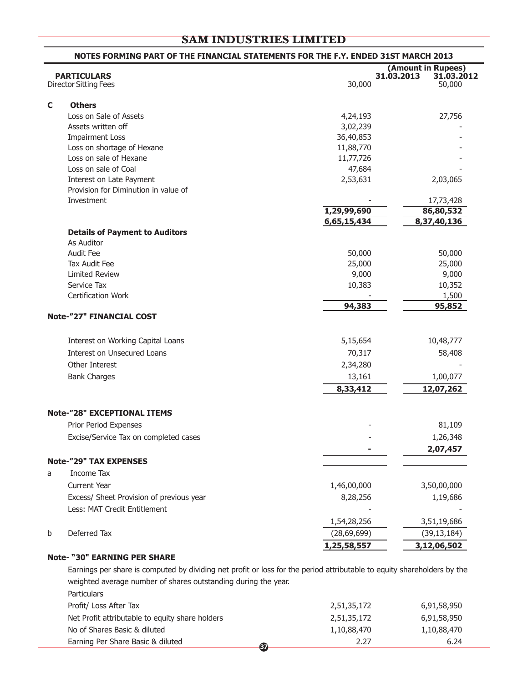## Director Sitting Fees 30,000 50,000 **C Others** Loss on Sale of Assets 27.756 Assets written off 3,02,239 Impairment Loss 36,40,853 Loss on shortage of Hexane 11,88,770 Loss on sale of Hexane 11,77,726 Loss on sale of Coal 47,684 Interest on Late Payment 2,53,631 2,03,065 Provision for Diminution in value of Investment - 17,73,428 **1,29,99,690 86,80,532 6,65,15,434 8,37,40,136 Details of Payment to Auditors** As Auditor Audit Fee 50,000 50,000 Tax Audit Fee 25,000 25,000 Limited Review 9,000 9,000 9,000 Service Tax 10,383 10,352 Certification Work - 1,500 **94,383 95,852 Note-"27" FINANCIAL COST** Interest on Working Capital Loans 10,48,777 10,48,777 Interest on Unsecured Loans **70.317** 58,408 Other Interest 2,34,280 - Bank Charges 13,161 1,00,077 **8,33,412 12,07,262 Note-"28" EXCEPTIONAL ITEMS** Prior Period Expenses 81,109 Excise/Service Tax on completed cases and the service of the service of the service of the service of the service of the service of the service of the service of the service of the service of the service of the service of **- 2,07,457 Note-"29" TAX EXPENSES** a Income Tax Current Year 1,46,00,000 3,50,00,000 Excess/ Sheet Provision of previous year 8,28,256 and 8,28,256 and 8,28,256 and 1,19,686 Less: MAT Credit Entitlement 1,54,28,256 3,51,19,686 b Deferred Tax (28,69,699) (39,13,184) **1,25,58,557 3,12,06,502 Note- "30" EARNING PER SHARE NOTES FORMING PART OF THE FINANCIAL STATEMENTS FOR THE F.Y. ENDED 31ST MARCH 2013 (Amount in Rupees) PARTICULARS 31.03.2013 31.03.2012**

Earnings per share is computed by dividing net profit or loss for the period attributable to equity shareholders by the weighted average number of shares outstanding during the year. **Particulars** Profit/ Loss After Tax 6,91,58,950 Net Profit attributable to equity share holders 2,51,35,172 6,91,58,950 No of Shares Basic & diluted 1,10,88,470 1,10,88,470 1,10,88,470 Earning Per Share Basic & diluted 2.27 6.24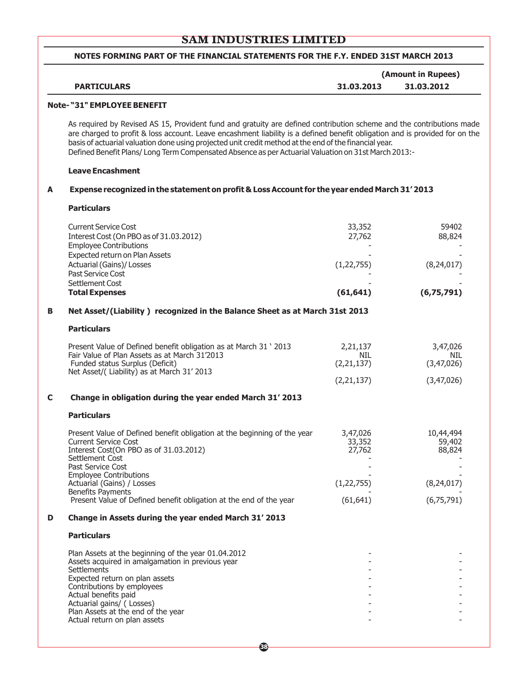#### **NOTES FORMING PART OF THE FINANCIAL STATEMENTS FOR THE F.Y. ENDED 31ST MARCH 2013**

|                    |            | (Amount in Rupees) |
|--------------------|------------|--------------------|
| <b>PARTICULARS</b> | 31.03.2013 | 31.03.2012         |

#### **Note- "31" EMPLOYEE BENEFIT**

As required by Revised AS 15, Provident fund and gratuity are defined contribution scheme and the contributions made are charged to profit & loss account. Leave encashment liability is a defined benefit obligation and is provided for on the basis of actuarial valuation done using projected unit credit method at the end of the financial year. Defined Benefit Plans/ Long Term Compensated Absence as per Actuarial Valuation on 31st March 2013:-

#### **Leave Encashment**

#### **A Expense recognized in the statement on profit & Loss Account for the year ended March 31' 2013**

**Particulars**

|   | <b>Current Service Cost</b>                                                                    | 33,352       | 59402        |
|---|------------------------------------------------------------------------------------------------|--------------|--------------|
|   | Interest Cost (On PBO as of 31.03.2012)                                                        | 27,762       | 88,824       |
|   | <b>Employee Contributions</b>                                                                  |              |              |
|   | Expected return on Plan Assets<br>Actuarial (Gains)/ Losses                                    | (1, 22, 755) | (8, 24, 017) |
|   | Past Service Cost                                                                              |              |              |
|   | Settlement Cost                                                                                |              |              |
|   | <b>Total Expenses</b>                                                                          | (61, 641)    | (6,75,791)   |
| B | Net Asset/(Liability) recognized in the Balance Sheet as at March 31st 2013                    |              |              |
|   | <b>Particulars</b>                                                                             |              |              |
|   | Present Value of Defined benefit obligation as at March 31 ' 2013                              | 2,21,137     | 3,47,026     |
|   | Fair Value of Plan Assets as at March 31'2013                                                  | NIL.         | NIL.         |
|   | Funded status Surplus (Deficit)<br>Net Asset/(Liability) as at March 31' 2013                  | (2, 21, 137) | (3,47,026)   |
|   |                                                                                                | (2, 21, 137) | (3,47,026)   |
| C | Change in obligation during the year ended March 31' 2013                                      |              |              |
|   | <b>Particulars</b>                                                                             |              |              |
|   | Present Value of Defined benefit obligation at the beginning of the year                       | 3,47,026     | 10,44,494    |
|   | <b>Current Service Cost</b>                                                                    | 33,352       | 59,402       |
|   | Interest Cost(On PBO as of 31.03.2012)<br>Settlement Cost                                      | 27,762       | 88,824       |
|   | Past Service Cost                                                                              |              |              |
|   | <b>Employee Contributions</b>                                                                  |              |              |
|   | Actuarial (Gains) / Losses                                                                     | (1, 22, 755) | (8, 24, 017) |
|   | <b>Benefits Payments</b><br>Present Value of Defined benefit obligation at the end of the year | (61, 641)    | (6,75,791)   |
| D | Change in Assets during the year ended March 31' 2013                                          |              |              |
|   | <b>Particulars</b>                                                                             |              |              |
|   | Plan Assets at the beginning of the year 01.04.2012                                            |              |              |
|   | Assets acquired in amalgamation in previous year                                               |              |              |
|   | Settlements                                                                                    |              |              |
|   | Expected return on plan assets<br>Contributions by employees                                   |              |              |
|   | Actual benefits paid                                                                           |              |              |
|   | Actuarial gains/ (Losses)<br>Plan Assets at the end of the year                                |              |              |
|   |                                                                                                |              |              |
|   | Actual return on plan assets                                                                   |              |              |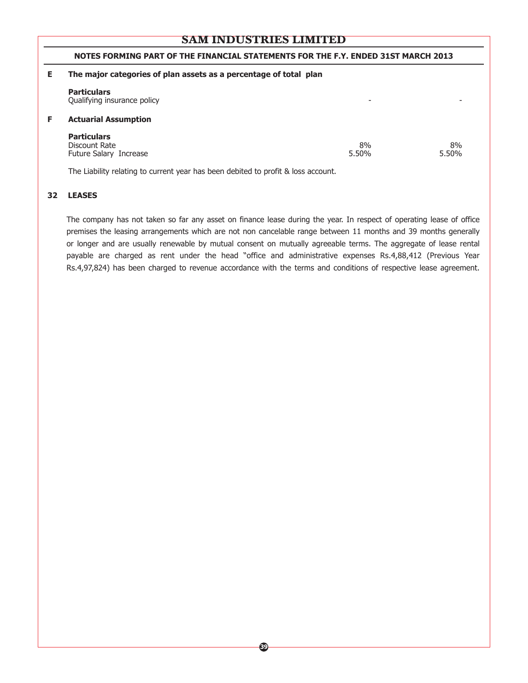#### **NOTES FORMING PART OF THE FINANCIAL STATEMENTS FOR THE F.Y. ENDED 31ST MARCH 2013**

| Е  | The major categories of plan assets as a percentage of total plan |                          |             |  |  |  |
|----|-------------------------------------------------------------------|--------------------------|-------------|--|--|--|
|    | <b>Particulars</b><br>Qualifying insurance policy                 | $\overline{\phantom{0}}$ |             |  |  |  |
| F. | <b>Actuarial Assumption</b>                                       |                          |             |  |  |  |
|    | <b>Particulars</b><br>Discount Rate<br>Future Salary Increase     | 8%<br>5.50%              | 8%<br>5.50% |  |  |  |

The Liability relating to current year has been debited to profit & loss account.

#### **32 LEASES**

The company has not taken so far any asset on finance lease during the year. In respect of operating lease of office premises the leasing arrangements which are not non cancelable range between 11 months and 39 months generally or longer and are usually renewable by mutual consent on mutually agreeable terms. The aggregate of lease rental payable are charged as rent under the head "office and administrative expenses Rs.4,88,412 (Previous Year Rs.4,97,824) has been charged to revenue accordance with the terms and conditions of respective lease agreement.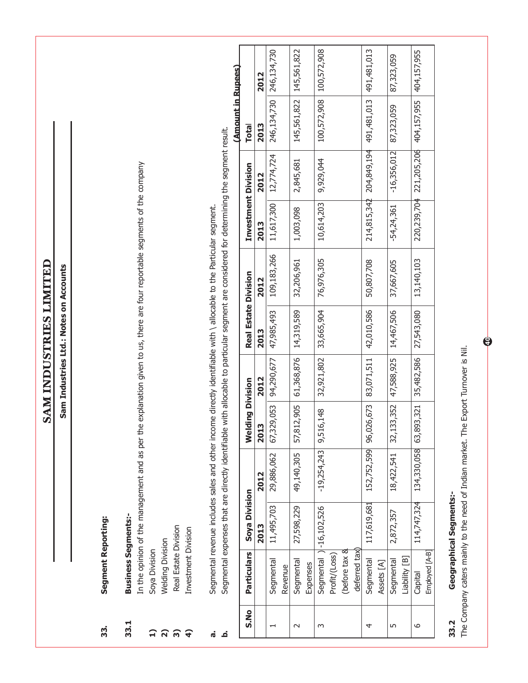|                          |                                |                                |                                                                                                                                                                                                                                                                  |                         |            | SAM INDUSTRIES LIMITED                 |                                                                              |                     |               |                    |             |
|--------------------------|--------------------------------|--------------------------------|------------------------------------------------------------------------------------------------------------------------------------------------------------------------------------------------------------------------------------------------------------------|-------------------------|------------|----------------------------------------|------------------------------------------------------------------------------|---------------------|---------------|--------------------|-------------|
|                          |                                |                                |                                                                                                                                                                                                                                                                  |                         |            | Sam Industries Ltd.: Notes on Accounts |                                                                              |                     |               |                    |             |
| 33.                      | Segment Reporting:             |                                |                                                                                                                                                                                                                                                                  |                         |            |                                        |                                                                              |                     |               |                    |             |
| 33.1                     | <b>Business Segments:-</b>     |                                | In the opinion of the management and as per th                                                                                                                                                                                                                   |                         |            |                                        | e explanation given to us, there are four reportable segments of the company |                     |               |                    |             |
|                          | Soya Division                  |                                |                                                                                                                                                                                                                                                                  |                         |            |                                        |                                                                              |                     |               |                    |             |
|                          | <b>Welding Division</b>        |                                |                                                                                                                                                                                                                                                                  |                         |            |                                        |                                                                              |                     |               |                    |             |
| <b>บ ย ย ย</b>           | Real Estate Division           |                                |                                                                                                                                                                                                                                                                  |                         |            |                                        |                                                                              |                     |               |                    |             |
|                          | Investment Division            |                                |                                                                                                                                                                                                                                                                  |                         |            |                                        |                                                                              |                     |               |                    |             |
| d,<br>ئە                 |                                |                                | Segmental expenses that are directly identifiable with allocable to particular segment are considered for determining the segment result.<br>Segmental revenue includes sales and other income directly identifiable with \ allocable to the Particular segment. |                         |            |                                        |                                                                              |                     |               |                    |             |
|                          |                                |                                |                                                                                                                                                                                                                                                                  |                         |            |                                        |                                                                              |                     |               | (Amount in Rupees) |             |
| S.No                     | <b>Particulars</b>             | Soya Division                  |                                                                                                                                                                                                                                                                  | <b>Welding Division</b> |            | <b>Real Estate Division</b>            |                                                                              | Investment Division |               | <b>Total</b>       |             |
|                          |                                | 2013                           | 2012                                                                                                                                                                                                                                                             | 2013                    | 2012       | 2013                                   | 2012                                                                         | 2013                | 2012          | 2013               | 2012        |
| $\overline{\phantom{0}}$ | Segmental                      | 11,495,703                     | 29,886,062                                                                                                                                                                                                                                                       | 67,329,053              | 94,290,677 | 47,985,493                             | 109,183,266                                                                  | 11,617,300          | 12,774,724    | 246,134,730        | 246,134,730 |
|                          | Revenue                        |                                |                                                                                                                                                                                                                                                                  |                         |            |                                        |                                                                              |                     |               |                    |             |
| $\sim$                   | Segmental<br>Expenses          | 27,598,229                     | 49,140,305                                                                                                                                                                                                                                                       | 57,812,905              | 61,368,876 | 14,319,589                             | 32,206,961                                                                   | 1,003,098           | 2,845,681     | 145,561,822        | 145,561,822 |
| $\sim$                   |                                | Segmental ) -16, 102, 526      | $-19,254,243$                                                                                                                                                                                                                                                    | .6,148<br>9,51          | 32,921,802 | 33,665,904                             | 76,976,305                                                                   | 10,614,203          | 9,929,044     | 100,572,908        | 100,572,908 |
|                          | (before tax &<br>Profit/(Loss) |                                |                                                                                                                                                                                                                                                                  |                         |            |                                        |                                                                              |                     |               |                    |             |
|                          | deferred tax                   |                                |                                                                                                                                                                                                                                                                  |                         |            |                                        |                                                                              |                     |               |                    |             |
| 4                        | Segmental<br>Assets [A]        | 117,619,681                    | 152,752,599                                                                                                                                                                                                                                                      | 96,026,673              | 83,071,511 | 42,010,586                             | 50,807,708                                                                   | 214,815,342         | 204,849,194   | 491, 481, 013      | 491,481,013 |
| 5                        | Liability [B]<br>Segmental     | 2,872,357                      | 18,422,541                                                                                                                                                                                                                                                       | 33,352<br>32,1          | 47,588,925 | 14,467,506                             | 37,667,605                                                                   | $-54,24,361$        | $-16,356,012$ | 87,323,059         | 87,323,059  |
| $\circ$                  | Employed [A-B]<br>Capital      | 114,747,324                    | 134,330,058                                                                                                                                                                                                                                                      | 63,893,321              | 35,482,586 | 27,543,080                             | 13,140,103                                                                   | 220,239,704         | 221,205,206   | 404,157,955        | 404,157,955 |
| 33.2                     |                                | <b>Geographical Segments:-</b> |                                                                                                                                                                                                                                                                  |                         |            |                                        |                                                                              |                     |               |                    |             |

The Company caters mainly to the need of Indian market. The Export Turnover is Nil. The Company caters mainly to the need of Indian market. The Export Turnover is Nil.

**40**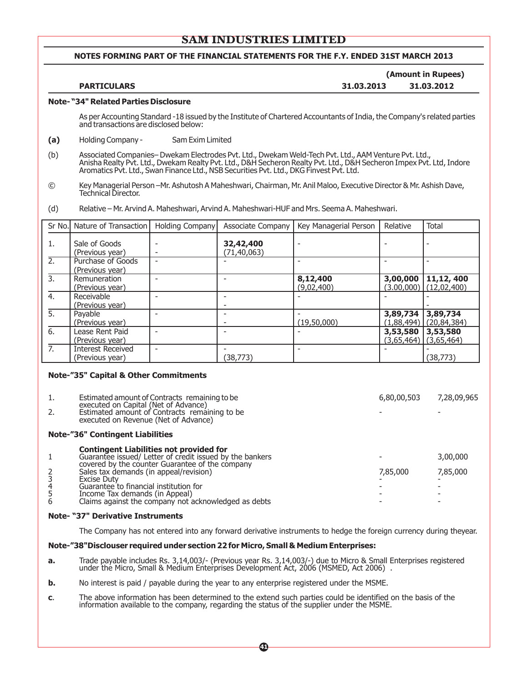#### **NOTES FORMING PART OF THE FINANCIAL STATEMENTS FOR THE F.Y. ENDED 31ST MARCH 2013**

#### **(Amount in Rupees) PARTICULARS 31.03.2013 31.03.2012**

#### **Note- "34" Related Parties Disclosure**

As per Accounting Standard -18 issued by the Institute of Chartered Accountants of India, the Company's related parties and transactions are disclosed below:

- **(a)** Holding Company Sam Exim Limited
- (b) Associated Companies– Dwekam Electrodes Pvt. Ltd., Dwekam Weld-Tech Pvt. Ltd., AAM Venture Pvt. Ltd., Anisha Realty Pvt. Ltd., Dwekam Realty Pvt. Ltd., D&H Secheron Realty Pvt. Ltd., D&H Secheron Impex Pvt. Ltd, Indore Aromatics Pvt. Ltd., Swan Finance Ltd., NSB Securities Pvt. Ltd., DKG Finvest Pvt. Ltd.
- © Key Managerial Person –Mr. Ashutosh A Maheshwari, Chairman, Mr. Anil Maloo, Executive Director & Mr. Ashish Dave, Technical Director.
- (d) Relative Mr. Arvind A. Maheshwari, Arvind A. Maheshwari-HUF and Mrs. Seema A. Maheshwari.

|    | Sr No. Nature of Transaction                | Holding Company | Associate Company        | Key Managerial Person  | Relative                            | <b>Total</b>                            |
|----|---------------------------------------------|-----------------|--------------------------|------------------------|-------------------------------------|-----------------------------------------|
| 1. | Sale of Goods<br>(Previous year)            |                 | 32,42,400<br>(71,40,063) |                        |                                     |                                         |
| 2. | Purchase of Goods<br>(Previous year)        |                 |                          |                        |                                     |                                         |
| 3. | Remuneration<br>(Previous year)             |                 |                          | 8,12,400<br>(9,02,400) | 3,00,000                            | 11,12,400<br>$(3.00,000)$ $(12,02,400)$ |
| 4. | Receivable<br>(Previous year)               |                 |                          |                        |                                     |                                         |
| 5. | Payable<br>(Previous year)                  |                 |                          | (19,50,000)            | 3,89,734                            | 3,89,734<br>$(1,88,494)$ (20,84,384)    |
| 6. | Lease Rent Paid<br>(Previous year)          |                 |                          |                        | 3,53,580<br>$(3,65,464)$ (3,65,464) | 3,53,580                                |
| 7. | <b>Interest Received</b><br>(Previous year) |                 | (38,773)                 |                        |                                     | (38, 773)                               |

#### **Note-"35" Capital & Other Commitments**

| 1.<br>2. | Estimated amount of Contracts remaining to be.<br>executed on Capital (Net of Advance)<br>Estimated amount of Contracts remaining to be<br>executed on Revenue (Net of Advance)                                                                                                                                                                                   | 6,80,00,503 | 7,28,09,965          |
|----------|-------------------------------------------------------------------------------------------------------------------------------------------------------------------------------------------------------------------------------------------------------------------------------------------------------------------------------------------------------------------|-------------|----------------------|
|          | <b>Note-"36" Contingent Liabilities</b>                                                                                                                                                                                                                                                                                                                           |             |                      |
| 23456    | <b>Contingent Liabilities not provided for</b><br>Guarantee issued/ Letter of credit issued by the bankers<br>covered by the counter Guarantee of the company<br>Sales tax demands (in appeal/revision)<br><b>Excise Duty</b><br>Guarantee to financial institution for<br>Income Tax demands (in Appeal)<br>Claims against the company not acknowledged as debts | 7,85,000    | 3,00,000<br>7,85,000 |

#### **Note- "37" Derivative Instruments**

The Company has not entered into any forward derivative instruments to hedge the foreign currency during theyear.

#### **Note-"38"Disclouser required under section 22 for Micro, Small & Medium Enterprises:**

- **a.** Trade payable includes Rs. 3,14,003/- (Previous year Rs. 3,14,003/-) due to Micro & Small Enterprises registered under the Micro, Small & Medium Enterprises Development Act, 2006 (MSMED, Act 2006) .
- **b.** No interest is paid / payable during the year to any enterprise registered under the MSME.
- **c**. The above information has been determined to the extend such parties could be identified on the basis of the information available to the company, regarding the status of the supplier under the MSME.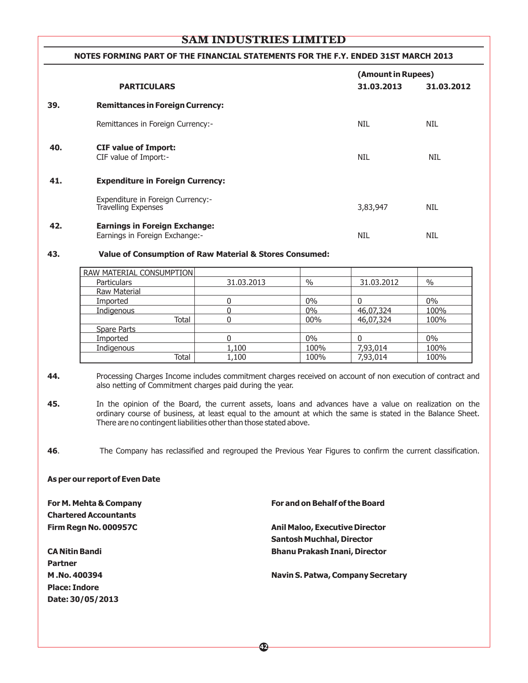#### **NOTES FORMING PART OF THE FINANCIAL STATEMENTS FOR THE F.Y. ENDED 31ST MARCH 2013**

|     | <b>PARTICULARS</b>                                                     | (Amount in Rupees)<br>31.03.2013<br>31.03.2012 |            |
|-----|------------------------------------------------------------------------|------------------------------------------------|------------|
| 39. | <b>Remittances in Foreign Currency:</b>                                |                                                |            |
|     | Remittances in Foreign Currency:-                                      | <b>NIL</b>                                     | <b>NIL</b> |
| 40. | <b>CIF value of Import:</b><br>CIF value of Import:-                   | <b>NIL</b>                                     | <b>NIL</b> |
| 41. | <b>Expenditure in Foreign Currency:</b>                                |                                                |            |
|     | Expenditure in Foreign Currency:-<br><b>Travelling Expenses</b>        | 3,83,947                                       | <b>NIL</b> |
| 42. | <b>Earnings in Foreign Exchange:</b><br>Earnings in Foreign Exchange:- | <b>NIL</b>                                     | <b>NIL</b> |

#### **43. Value of Consumption of Raw Material & Stores Consumed:**

| RAW MATERIAL CONSUMPTION |            |       |            |       |  |
|--------------------------|------------|-------|------------|-------|--|
| <b>Particulars</b>       | 31.03.2013 | $\%$  | 31,03,2012 | $\%$  |  |
| <b>Raw Material</b>      |            |       |            |       |  |
| Imported                 |            | $0\%$ |            | $0\%$ |  |
| Indigenous               |            | $0\%$ | 46,07,324  | 100%  |  |
| Total                    |            | 00%   | 46,07,324  | 100%  |  |
| <b>Spare Parts</b>       |            |       |            |       |  |
| Imported                 |            | $0\%$ |            | $0\%$ |  |
| Indigenous               | 1,100      | 100%  | 7,93,014   | 100%  |  |
| Total                    | 1,100      | 100%  | 7,93,014   | 100%  |  |

**<sup>44.</sup>** Processing Charges Income includes commitment charges received on account of non execution of contract and also netting of Commitment charges paid during the year.

#### **As per our report of Even Date**

**Chartered Accountants**

**Partner Place: Indore Date: 30/05/2013**

#### **For M. Mehta & Company For and on Behalf of the Board**

## **Firm Regn No. 000957C Anil Maloo, Executive Director Santosh Muchhal, Director CA Nitin Bandi Bhanu Prakash Inani, Director**

#### **M .No. 400394 Navin S. Patwa, Company Secretary**

**<sup>45.</sup>** In the opinion of the Board, the current assets, loans and advances have a value on realization on the ordinary course of business, at least equal to the amount at which the same is stated in the Balance Sheet. There are no contingent liabilities other than those stated above.

**<sup>46</sup>**. The Company has reclassified and regrouped the Previous Year Figures to confirm the current classification.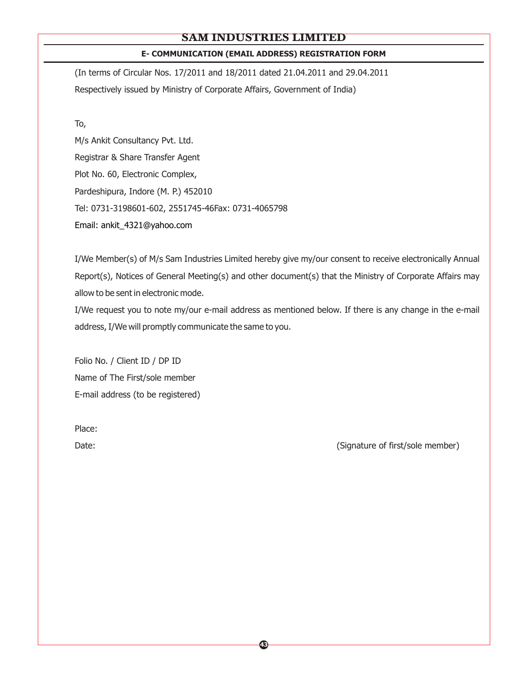## **E- COMMUNICATION (EMAIL ADDRESS) REGISTRATION FORM**

(In terms of Circular Nos. 17/2011 and 18/2011 dated 21.04.2011 and 29.04.2011 Respectively issued by Ministry of Corporate Affairs, Government of India)

To,

M/s Ankit Consultancy Pvt. Ltd. Registrar & Share Transfer Agent Plot No. 60, Electronic Complex, Pardeshipura, Indore (M. P.) 452010 Tel: 0731-3198601-602, 2551745-46Fax: 0731-4065798 Email: ankit\_4321@yahoo.com

I/We Member(s) of M/s Sam Industries Limited hereby give my/our consent to receive electronically Annual Report(s), Notices of General Meeting(s) and other document(s) that the Ministry of Corporate Affairs may allow to be sent in electronic mode.

I/We request you to note my/our e-mail address as mentioned below. If there is any change in the e-mail address, I/We will promptly communicate the same to you.

Folio No. / Client ID / DP ID Name of The First/sole member E-mail address (to be registered)

Place:

Date: (Signature of first/sole member)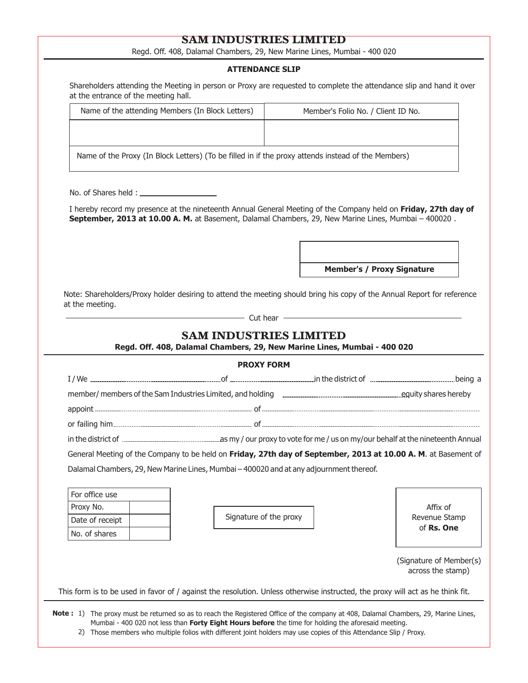Regd. Off. 408, Dalamal Chambers, 29, New Marine Lines, Mumbai - 400 020

#### **ATTENDANCE SLIP**

| Shareholders attending the Meeting in person or Proxy are requested to complete the attendance slip and hand it over |  |
|----------------------------------------------------------------------------------------------------------------------|--|
| at the entrance of the meeting hall.                                                                                 |  |

| Name of the attending Members (In Block Letters)                                                   | Member's Folio No. / Client ID No. |  |
|----------------------------------------------------------------------------------------------------|------------------------------------|--|
|                                                                                                    |                                    |  |
| Name of the Proxy (In Block Letters) (To be filled in if the proxy attends instead of the Members) |                                    |  |

No. of Shares held :

I hereby record my presence at the nineteenth Annual General Meeting of the Company held on **Friday, 27th day of September, 2013 at 10.00 A. M.** at Basement, Dalamal Chambers, 29, New Marine Lines, Mumbai – 400020 .

**Member's / Proxy Signature**

Note: Shareholders/Proxy holder desiring to attend the meeting should bring his copy of the Annual Report for reference at the meeting.

- Cut hear -

## **SAM INDUSTRIES LIMITED**

**Regd. Off. 408, Dalamal Chambers, 29, New Marine Lines, Mumbai - 400 020**

|                 | <b>PROXY FORM</b>                                                                                              |                                              |
|-----------------|----------------------------------------------------------------------------------------------------------------|----------------------------------------------|
|                 |                                                                                                                |                                              |
|                 |                                                                                                                |                                              |
|                 |                                                                                                                |                                              |
|                 |                                                                                                                |                                              |
|                 |                                                                                                                |                                              |
|                 | General Meeting of the Company to be held on Friday, 27th day of September, 2013 at 10.00 A. M. at Basement of |                                              |
| For office use  | Dalamal Chambers, 29, New Marine Lines, Mumbai - 400020 and at any adjournment thereof.                        |                                              |
| Proxy No.       |                                                                                                                | Affix of                                     |
| Date of receipt | Signature of the proxy                                                                                         | Revenue Stamp                                |
| No. of shares   |                                                                                                                | of Rs. One                                   |
|                 |                                                                                                                | (Signature of Member(s)<br>across the stamp) |

**Note :** 1) The proxy must be returned so as to reach the Registered Office of the company at 408, Dalamal Chambers, 29, Marine Lines, Mumbai - 400 020 not less than **Forty Eight Hours before** the time for holding the aforesaid meeting.

2) Those members who multiple folios with different joint holders may use copies of this Attendance Slip / Proxy.